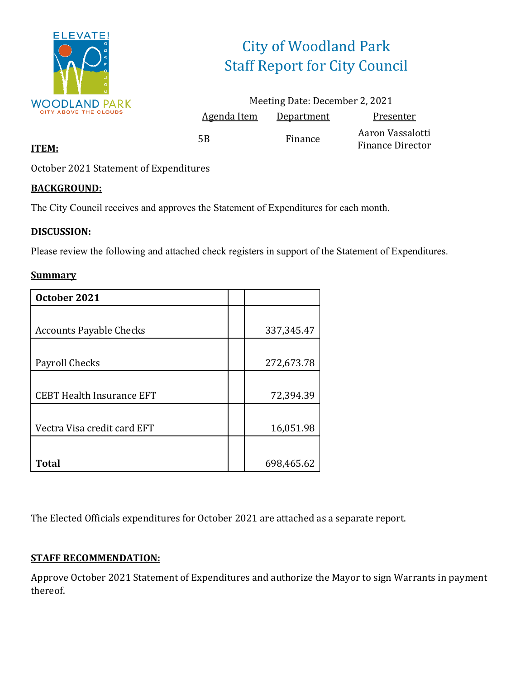

# City of Woodland Park Staff Report for City Council

|             | Meeting Date: December 2, 2021 |                                             |
|-------------|--------------------------------|---------------------------------------------|
| Agenda Item | Department                     | Presenter                                   |
| 5Β          | Finance                        | Aaron Vassalotti<br><b>Finance Director</b> |

### **ITEM:**

October 2021 Statement of Expenditures

### **BACKGROUND:**

The City Council receives and approves the Statement of Expenditures for each month.

### **DISCUSSION:**

Please review the following and attached check registers in support of the Statement of Expenditures.

### **Summary**

| October 2021                     |              |
|----------------------------------|--------------|
|                                  |              |
| <b>Accounts Payable Checks</b>   | 337, 345. 47 |
|                                  |              |
| Payroll Checks                   | 272,673.78   |
|                                  |              |
| <b>CEBT Health Insurance EFT</b> | 72,394.39    |
|                                  |              |
| Vectra Visa credit card EFT      | 16,051.98    |
|                                  |              |
| <b>Total</b>                     | 698,465.62   |

The Elected Officials expenditures for October 2021 are attached as a separate report.

### **STAFF RECOMMENDATION:**

Approve October 2021 Statement of Expenditures and authorize the Mayor to sign Warrants in payment thereof.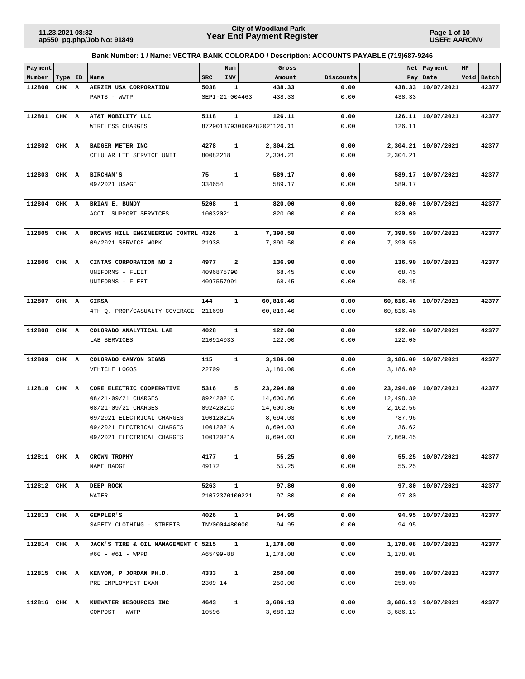**Page 1 of 10 USER: AARONV**

| Payment      |           |                         |                                     |               | Num                     | Gross                      |              |           | Net   Payment        | HP |            |
|--------------|-----------|-------------------------|-------------------------------------|---------------|-------------------------|----------------------------|--------------|-----------|----------------------|----|------------|
| Number       | Type   ID |                         | Name                                | <b>SRC</b>    | INV                     | Amount                     | Discounts    |           | Pay Date             |    | Void Batch |
| 112800       | CHK       | $\overline{\mathbf{A}}$ | AERZEN USA CORPORATION              | 5038          | 1                       | 438.33                     | 0.00         |           | 438.33 10/07/2021    |    | 42377      |
|              |           |                         | PARTS - WWTP                        |               | SEPI-21-004463          | 438.33                     | 0.00         | 438.33    |                      |    |            |
| 112801 CHK A |           |                         | AT&T MOBILITY LLC                   | 5118          | $\mathbf{1}$            | 126.11                     | 0.00         |           | 126.11 10/07/2021    |    | 42377      |
|              |           |                         | WIRELESS CHARGES                    |               |                         | 87290137930X09282021126.11 | 0.00         | 126.11    |                      |    |            |
| 112802       | CHK A     |                         | BADGER METER INC                    | 4278          | 1                       | 2,304.21                   | 0.00         |           | 2,304.21 10/07/2021  |    | 42377      |
|              |           |                         | CELULAR LTE SERVICE UNIT            | 80082218      |                         | 2,304.21                   | 0.00         | 2,304.21  |                      |    |            |
|              |           |                         |                                     |               |                         |                            |              |           |                      |    |            |
| 112803 CHK A |           |                         | <b>BIRCHAM'S</b>                    | 75            | $\mathbf{1}$            | 589.17                     | 0.00         |           | 589.17 10/07/2021    |    | 42377      |
|              |           |                         | 09/2021 USAGE                       | 334654        |                         | 589.17                     | 0.00         | 589.17    |                      |    |            |
| 112804       | CHK A     |                         | BRIAN E. BUNDY                      | 5208          | 1                       | 820.00                     | 0.00         |           | 820.00 10/07/2021    |    | 42377      |
|              |           |                         | ACCT. SUPPORT SERVICES              | 10032021      |                         | 820.00                     | 0.00         | 820.00    |                      |    |            |
|              |           |                         |                                     |               |                         |                            |              |           |                      |    |            |
| 112805       | CHK A     |                         | BROWNS HILL ENGINEERING CONTRL 4326 |               | 1                       | 7,390.50                   | 0.00         |           | 7,390.50 10/07/2021  |    | 42377      |
|              |           |                         | 09/2021 SERVICE WORK                | 21938         |                         | 7,390.50                   | 0.00         | 7,390.50  |                      |    |            |
| 112806       | CHK A     |                         | CINTAS CORPORATION NO 2             | 4977          | $\overline{\mathbf{2}}$ | 136.90                     | 0.00         |           | 136.90 10/07/2021    |    | 42377      |
|              |           |                         | UNIFORMS - FLEET                    | 4096875790    |                         | 68.45                      | 0.00         | 68.45     |                      |    |            |
|              |           |                         | UNIFORMS - FLEET                    | 4097557991    |                         | 68.45                      | 0.00         | 68.45     |                      |    |            |
|              |           |                         | <b>CIRSA</b>                        | 144           | 1                       |                            |              |           |                      |    | 42377      |
| 112807 CHK A |           |                         | 4TH Q. PROP/CASUALTY COVERAGE       | 211698        |                         | 60,816.46<br>60,816.46     | 0.00<br>0.00 | 60,816.46 | 60,816.46 10/07/2021 |    |            |
|              |           |                         |                                     |               |                         |                            |              |           |                      |    |            |
| 112808       | CHK A     |                         | COLORADO ANALYTICAL LAB             | 4028          | $\mathbf{1}$            | 122.00                     | 0.00         |           | 122.00 10/07/2021    |    | 42377      |
|              |           |                         | LAB SERVICES                        | 210914033     |                         | 122.00                     | 0.00         | 122.00    |                      |    |            |
| 112809       | CHK A     |                         | COLORADO CANYON SIGNS               | 115           | 1                       | 3,186.00                   | 0.00         |           | 3,186.00 10/07/2021  |    | 42377      |
|              |           |                         | VEHICLE LOGOS                       | 22709         |                         | 3,186.00                   | 0.00         | 3,186.00  |                      |    |            |
|              |           |                         |                                     |               |                         |                            |              |           |                      |    |            |
| 112810       | CHK       | A                       | CORE ELECTRIC COOPERATIVE           | 5316          | 5                       | 23,294.89                  | 0.00         |           | 23,294.89 10/07/2021 |    | 42377      |
|              |           |                         | 08/21-09/21 CHARGES                 | 09242021C     |                         | 14,600.86                  | 0.00         | 12,498.30 |                      |    |            |
|              |           |                         | 08/21-09/21 CHARGES                 | 09242021C     |                         | 14,600.86                  | 0.00         | 2,102.56  |                      |    |            |
|              |           |                         | 09/2021 ELECTRICAL CHARGES          | 10012021A     |                         | 8,694.03                   | 0.00         | 787.96    |                      |    |            |
|              |           |                         | 09/2021 ELECTRICAL CHARGES          | 10012021A     |                         | 8,694.03                   | 0.00         | 36.62     |                      |    |            |
|              |           |                         | 09/2021 ELECTRICAL CHARGES          | 10012021A     |                         | 8,694.03                   | 0.00         | 7,869.45  |                      |    |            |
|              |           |                         |                                     |               |                         |                            |              |           |                      |    |            |
| 112811 CHK A |           |                         | CROWN TROPHY<br>NAME BADGE          | 4177<br>49172 | 1                       | 55.25<br>55.25             | 0.00<br>0.00 | 55.25     | 55.25 10/07/2021     |    | 42377      |
|              |           |                         |                                     |               |                         |                            |              |           |                      |    |            |
| 112812 CHK A |           |                         | DEEP ROCK                           | 5263          | $\mathbf{1}$            | 97.80                      | 0.00         |           | 97.80 10/07/2021     |    | 42377      |
|              |           |                         | WATER                               |               | 21072370100221          | 97.80                      | 0.00         | 97.80     |                      |    |            |
|              |           |                         |                                     |               |                         |                            |              |           |                      |    |            |
| 112813 CHK A |           |                         | <b>GEMPLER'S</b>                    | 4026          | $\mathbf{1}$            | 94.95                      | 0.00         |           | 94.95 10/07/2021     |    | 42377      |
|              |           |                         | SAFETY CLOTHING - STREETS           |               | INV0004480000           | 94.95                      | 0.00         | 94.95     |                      |    |            |
| 112814 CHK A |           |                         | JACK'S TIRE & OIL MANAGEMENT C 5215 |               | 1                       | 1,178.08                   | 0.00         |           | 1,178.08 10/07/2021  |    | 42377      |
|              |           |                         | #60 - #61 - WPPD                    | A65499-88     |                         | 1,178.08                   | 0.00         | 1,178.08  |                      |    |            |
| 112815 CHK A |           |                         | KENYON, P JORDAN PH.D.              | 4333          | $\mathbf{1}$            | 250.00                     | 0.00         |           | 250.00 10/07/2021    |    | 42377      |
|              |           |                         | PRE EMPLOYMENT EXAM                 | $2309 - 14$   |                         | 250.00                     | 0.00         | 250.00    |                      |    |            |
|              |           |                         |                                     |               |                         |                            |              |           |                      |    |            |
| 112816 CHK A |           |                         | KUBWATER RESOURCES INC              | 4643          | $\mathbf{1}$            | 3,686.13                   | 0.00         |           | 3,686.13 10/07/2021  |    | 42377      |
|              |           |                         | COMPOST - WWTP                      | 10596         |                         | 3,686.13                   | 0.00         | 3,686.13  |                      |    |            |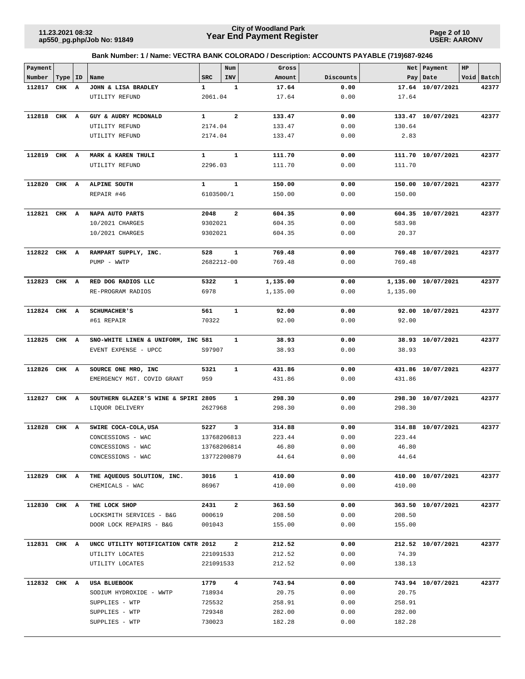**Page 2 of 10 USER: AARONV**

| Payment      |           |   |                                     |              | Num                     | Gross    |           |          | Net   Payment       | $_{\rm HP}$ |            |
|--------------|-----------|---|-------------------------------------|--------------|-------------------------|----------|-----------|----------|---------------------|-------------|------------|
| Number       | Type   ID |   | Name                                | <b>SRC</b>   | INV                     | Amount   | Discounts |          | Pay   Date          |             | Void Batch |
| 112817       | CHK       | A | JOHN & LISA BRADLEY                 | 1            | 1                       | 17.64    | 0.00      |          | 17.64 10/07/2021    |             | 42377      |
|              |           |   | UTILITY REFUND                      | 2061.04      |                         | 17.64    | 0.00      | 17.64    |                     |             |            |
|              |           |   |                                     |              |                         |          |           |          |                     |             |            |
| 112818       | CHK A     |   | GUY & AUDRY MCDONALD                | 1            | $\overline{\mathbf{2}}$ | 133.47   | 0.00      |          | 133.47 10/07/2021   |             | 42377      |
|              |           |   | UTILITY REFUND                      | 2174.04      |                         | 133.47   | 0.00      | 130.64   |                     |             |            |
|              |           |   | UTILITY REFUND                      | 2174.04      |                         | 133.47   | 0.00      | 2.83     |                     |             |            |
|              |           |   |                                     |              |                         |          |           |          |                     |             |            |
| 112819 CHK A |           |   | MARK & KAREN THULI                  | $\mathbf{1}$ | $\mathbf{1}$            | 111.70   | 0.00      |          | 111.70 10/07/2021   |             | 42377      |
|              |           |   | UTILITY REFUND                      | 2296.03      |                         | 111.70   | 0.00      | 111.70   |                     |             |            |
|              |           |   |                                     |              |                         |          |           |          |                     |             |            |
| 112820       | CHK A     |   | ALPINE SOUTH                        | $\mathbf{1}$ | $\mathbf{1}$            | 150.00   | 0.00      |          | 150.00 10/07/2021   |             | 42377      |
|              |           |   | REPAIR #46                          | 6103500/1    |                         | 150.00   | 0.00      | 150.00   |                     |             |            |
|              |           |   |                                     |              |                         |          |           |          |                     |             |            |
| 112821       | CHK A     |   | NAPA AUTO PARTS                     | 2048         | $\overline{\mathbf{2}}$ | 604.35   | 0.00      |          | 604.35 10/07/2021   |             | 42377      |
|              |           |   | 10/2021 CHARGES                     | 9302021      |                         | 604.35   | 0.00      | 583.98   |                     |             |            |
|              |           |   | 10/2021 CHARGES                     | 9302021      |                         | 604.35   | 0.00      | 20.37    |                     |             |            |
|              |           |   |                                     |              |                         |          |           |          |                     |             |            |
| 112822 CHK A |           |   | RAMPART SUPPLY, INC.                | 528          | 1                       | 769.48   | 0.00      |          | 769.48 10/07/2021   |             | 42377      |
|              |           |   | PUMP - WWTP                         | 2682212-00   |                         | 769.48   | 0.00      | 769.48   |                     |             |            |
|              |           |   |                                     |              |                         |          |           |          |                     |             |            |
| 112823       | CHK A     |   | RED DOG RADIOS LLC                  | 5322         | $\mathbf{1}$            | 1,135.00 | 0.00      |          | 1,135.00 10/07/2021 |             | 42377      |
|              |           |   | RE-PROGRAM RADIOS                   | 6978         |                         | 1,135.00 | 0.00      | 1,135.00 |                     |             |            |
|              |           |   |                                     |              |                         |          |           |          |                     |             |            |
| 112824 CHK A |           |   | <b>SCHUMACHER'S</b>                 | 561          | $\mathbf{1}$            | 92.00    | 0.00      |          | 92.00 10/07/2021    |             | 42377      |
|              |           |   | #61 REPAIR                          | 70322        |                         | 92.00    | 0.00      | 92.00    |                     |             |            |
|              |           |   |                                     |              |                         |          |           |          |                     |             |            |
| 112825 CHK A |           |   | SNO-WHITE LINEN & UNIFORM, INC 581  |              | 1                       | 38.93    | 0.00      |          | 38.93 10/07/2021    |             | 42377      |
|              |           |   | EVENT EXPENSE - UPCC                | S97907       |                         | 38.93    | 0.00      | 38.93    |                     |             |            |
|              |           |   |                                     |              |                         |          |           |          |                     |             |            |
| 112826       | CHK A     |   | SOURCE ONE MRO, INC                 | 5321         | $\mathbf{1}$            | 431.86   | 0.00      |          | 431.86 10/07/2021   |             | 42377      |
|              |           |   | EMERGENCY MGT. COVID GRANT          | 959          |                         | 431.86   | 0.00      | 431.86   |                     |             |            |
|              |           |   |                                     |              |                         |          |           |          |                     |             |            |
| 112827       | CHK A     |   | SOUTHERN GLAZER'S WINE & SPIRI 2805 |              | 1                       | 298.30   | 0.00      |          | 298.30 10/07/2021   |             | 42377      |
|              |           |   | LIQUOR DELIVERY                     | 2627968      |                         | 298.30   | 0.00      | 298.30   |                     |             |            |
|              |           |   |                                     |              |                         |          |           |          |                     |             |            |
| 112828       | CHK A     |   | SWIRE COCA-COLA, USA                | 5227         | 3                       | 314.88   | 0.00      |          | 314.88 10/07/2021   |             | 42377      |
|              |           |   | CONCESSIONS - WAC                   | 13768206813  |                         | 223.44   | 0.00      | 223.44   |                     |             |            |
|              |           |   | CONCESSIONS - WAC                   | 13768206814  |                         | 46.80    | 0.00      | 46.80    |                     |             |            |
|              |           |   | CONCESSIONS - WAC                   | 13772200879  |                         | 44.64    | 0.00      | 44.64    |                     |             |            |
|              |           |   |                                     |              |                         |          |           |          |                     |             |            |
| 112829 CHK A |           |   | THE AQUEOUS SOLUTION, INC.          | 3016         | $\mathbf{1}$            | 410.00   | 0.00      |          | 410.00 10/07/2021   |             | 42377      |
|              |           |   | CHEMICALS - WAC                     | 86967        |                         | 410.00   | 0.00      | 410.00   |                     |             |            |
|              |           |   |                                     |              |                         |          |           |          |                     |             |            |
| 112830 CHK A |           |   | THE LOCK SHOP                       | 2431         | $\mathbf{2}$            | 363.50   | 0.00      |          | 363.50 10/07/2021   |             | 42377      |
|              |           |   | LOCKSMITH SERVICES - B&G            | 000619       |                         | 208.50   | 0.00      | 208.50   |                     |             |            |
|              |           |   | DOOR LOCK REPAIRS - B&G             | 001043       |                         | 155.00   | 0.00      | 155.00   |                     |             |            |
| 112831 CHK A |           |   | UNCC UTILITY NOTIFICATION CNTR 2012 |              | $\overline{a}$          | 212.52   | 0.00      |          | 212.52 10/07/2021   |             | 42377      |
|              |           |   | UTILITY LOCATES                     | 221091533    |                         | 212.52   | 0.00      | 74.39    |                     |             |            |
|              |           |   | UTILITY LOCATES                     | 221091533    |                         | 212.52   | 0.00      | 138.13   |                     |             |            |
|              |           |   |                                     |              |                         |          |           |          |                     |             |            |
| 112832 CHK A |           |   | USA BLUEBOOK                        | 1779         | $\overline{\mathbf{4}}$ | 743.94   | 0.00      |          | 743.94 10/07/2021   |             | 42377      |
|              |           |   | SODIUM HYDROXIDE - WWTP             | 718934       |                         | 20.75    | 0.00      | 20.75    |                     |             |            |
|              |           |   | SUPPLIES - WTP                      | 725532       |                         | 258.91   | 0.00      | 258.91   |                     |             |            |
|              |           |   | SUPPLIES - WTP                      | 729348       |                         | 282.00   | 0.00      | 282.00   |                     |             |            |
|              |           |   | SUPPLIES - WTP                      | 730023       |                         | 182.28   | 0.00      | 182.28   |                     |             |            |
|              |           |   |                                     |              |                         |          |           |          |                     |             |            |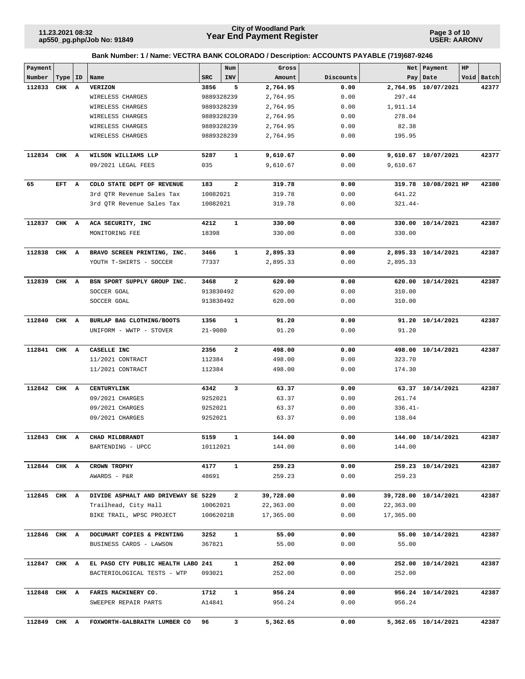**Page 3 of 10 USER: AARONV**

| Payment      |           |   |                                     |             | Num                     | Gross     |           | Net       | Payment              | HP |            |
|--------------|-----------|---|-------------------------------------|-------------|-------------------------|-----------|-----------|-----------|----------------------|----|------------|
| Number       | Type   ID |   | Name                                | SRC         | INV                     | Amount    | Discounts |           | Pay   Date           |    | Void Batch |
| 112833       | CHK       | A | <b>VERIZON</b>                      | 3856        | 5                       | 2,764.95  | 0.00      |           | 2,764.95 10/07/2021  |    | 42377      |
|              |           |   | WIRELESS CHARGES                    | 9889328239  |                         | 2,764.95  | 0.00      | 297.44    |                      |    |            |
|              |           |   | WIRELESS CHARGES                    | 9889328239  |                         | 2,764.95  | 0.00      | 1,911.14  |                      |    |            |
|              |           |   | WIRELESS CHARGES                    | 9889328239  |                         | 2,764.95  | 0.00      | 278.04    |                      |    |            |
|              |           |   | WIRELESS CHARGES                    | 9889328239  |                         | 2,764.95  | 0.00      | 82.38     |                      |    |            |
|              |           |   | WIRELESS CHARGES                    | 9889328239  |                         | 2,764.95  | 0.00      | 195.95    |                      |    |            |
|              |           |   |                                     |             |                         |           |           |           |                      |    |            |
| 112834 CHK A |           |   | WILSON WILLIAMS LLP                 | 5287        | 1                       | 9,610.67  | 0.00      |           | 9,610.67 10/07/2021  |    | 42377      |
|              |           |   | 09/2021 LEGAL FEES                  | 035         |                         | 9,610.67  | 0.00      | 9,610.67  |                      |    |            |
| 65           | EFT A     |   | COLO STATE DEPT OF REVENUE          | 183         | $\overline{\mathbf{2}}$ | 319.78    | 0.00      |           | 319.78 10/08/2021 HP |    | 42380      |
|              |           |   | 3rd QTR Revenue Sales Tax           | 10082021    |                         | 319.78    | 0.00      | 641.22    |                      |    |            |
|              |           |   | 3rd QTR Revenue Sales Tax           | 10082021    |                         | 319.78    | 0.00      | $321.44-$ |                      |    |            |
| 112837 CHK A |           |   | ACA SECURITY, INC                   | 4212        | $\mathbf{1}$            | 330.00    | 0.00      |           | 330.00 10/14/2021    |    | 42387      |
|              |           |   | MONITORING FEE                      | 18398       |                         | 330.00    | 0.00      | 330.00    |                      |    |            |
| 112838       | CHK A     |   | BRAVO SCREEN PRINTING, INC.         | 3466        | 1                       | 2,895.33  | 0.00      |           | 2,895.33 10/14/2021  |    | 42387      |
|              |           |   | YOUTH T-SHIRTS - SOCCER             | 77337       |                         | 2,895.33  | 0.00      | 2,895.33  |                      |    |            |
|              |           |   |                                     |             |                         |           |           |           |                      |    |            |
| 112839       | CHK A     |   | BSN SPORT SUPPLY GROUP INC.         | 3468        | $\mathbf{2}$            | 620.00    | 0.00      |           | 620.00 10/14/2021    |    | 42387      |
|              |           |   | SOCCER GOAL                         | 913830492   |                         | 620.00    | 0.00      | 310.00    |                      |    |            |
|              |           |   | SOCCER GOAL                         | 913830492   |                         | 620.00    | 0.00      | 310.00    |                      |    |            |
|              |           |   |                                     |             |                         |           |           |           |                      |    |            |
| 112840       | CHK A     |   | BURLAP BAG CLOTHING/BOOTS           | 1356        | 1                       | 91.20     | 0.00      |           | 91.20 10/14/2021     |    | 42387      |
|              |           |   | UNIFORM - WWTP - STOVER             | $21 - 9080$ |                         | 91.20     | 0.00      | 91.20     |                      |    |            |
| 112841       | CHK       | A | CASELLE INC                         | 2356        | 2                       | 498.00    | 0.00      |           | 498.00 10/14/2021    |    | 42387      |
|              |           |   | 11/2021 CONTRACT                    | 112384      |                         | 498.00    | 0.00      | 323.70    |                      |    |            |
|              |           |   | 11/2021 CONTRACT                    | 112384      |                         | 498.00    | 0.00      | 174.30    |                      |    |            |
| 112842       | CHK A     |   | CENTURYLINK                         | 4342        | 3                       | 63.37     | 0.00      |           | 63.37 10/14/2021     |    | 42387      |
|              |           |   | 09/2021 CHARGES                     | 9252021     |                         | 63.37     | 0.00      | 261.74    |                      |    |            |
|              |           |   | 09/2021 CHARGES                     | 9252021     |                         | 63.37     | 0.00      | $336.41-$ |                      |    |            |
|              |           |   | 09/2021 CHARGES                     | 9252021     |                         | 63.37     | 0.00      | 138.04    |                      |    |            |
| 112843 CHK A |           |   | CHAD MILDBRANDT                     | 5159        | 1                       | 144.00    | 0.00      |           | 144.00 10/14/2021    |    | 42387      |
|              |           |   | BARTENDING - UPCC                   | 10112021    |                         | 144.00    | 0.00      | 144.00    |                      |    |            |
|              |           |   |                                     |             |                         |           |           |           |                      |    |            |
| 112844 CHK A |           |   | CROWN TROPHY                        | 4177        | $\mathbf{1}$            | 259.23    | 0.00      |           | 259.23 10/14/2021    |    | 42387      |
|              |           |   | AWARDS - P&R                        | 48691       |                         | 259.23    | 0.00      | 259.23    |                      |    |            |
| 112845 CHK A |           |   | DIVIDE ASPHALT AND DRIVEWAY SE 5229 |             | $\mathbf{2}$            | 39,728.00 | 0.00      |           | 39,728.00 10/14/2021 |    | 42387      |
|              |           |   | Trailhead, City Hall                | 10062021    |                         | 22,363.00 | 0.00      | 22,363.00 |                      |    |            |
|              |           |   | BIKE TRAIL, WPSC PROJECT            | 10062021B   |                         | 17,365.00 | 0.00      | 17,365.00 |                      |    |            |
|              |           |   |                                     |             |                         |           |           |           |                      |    |            |
| 112846 CHK A |           |   | DOCUMART COPIES & PRINTING          | 3252        | $\mathbf{1}$            | 55.00     | 0.00      |           | 55.00 10/14/2021     |    | 42387      |
|              |           |   | BUSINESS CARDS - LAWSON             | 367821      |                         | 55.00     | 0.00      | 55.00     |                      |    |            |
| 112847 CHK A |           |   | EL PASO CTY PUBLIC HEALTH LABO 241  |             | $\mathbf{1}$            | 252.00    | 0.00      |           | 252.00 10/14/2021    |    | 42387      |
|              |           |   | BACTERIOLOGICAL TESTS - WTP         | 093021      |                         | 252.00    | 0.00      | 252.00    |                      |    |            |
| 112848 CHK A |           |   | FARIS MACHINERY CO.                 | 1712        | 1                       | 956.24    | 0.00      |           | 956.24 10/14/2021    |    | 42387      |
|              |           |   | SWEEPER REPAIR PARTS                | A14841      |                         | 956.24    | 0.00      | 956.24    |                      |    |            |
|              |           |   |                                     |             |                         |           |           |           |                      |    |            |
| 112849 CHK A |           |   | FOXWORTH-GALBRAITH LUMBER CO        | 96          | 3                       | 5,362.65  | 0.00      |           | 5,362.65 10/14/2021  |    | 42387      |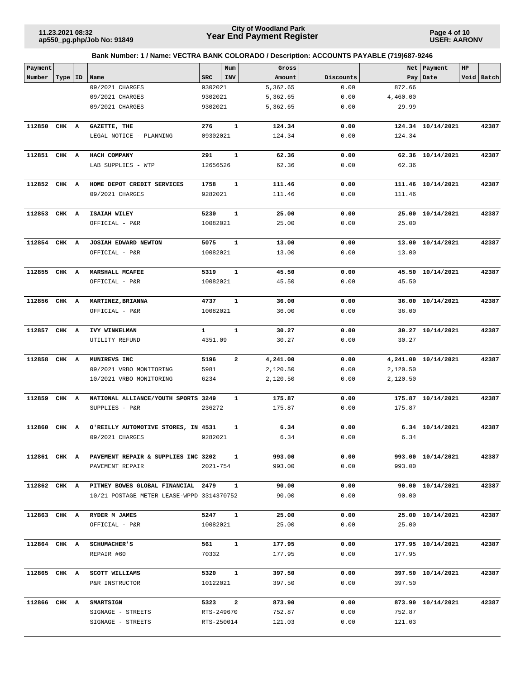**Page 4 of 10 USER: AARONV**

| Payment      |           |                                           |              | Num            | Gross    |           |          | Net   Payment       | $_{\rm HP}$ |            |
|--------------|-----------|-------------------------------------------|--------------|----------------|----------|-----------|----------|---------------------|-------------|------------|
| Number       | Type   ID | Name                                      | <b>SRC</b>   | INV            | Amount   | Discounts | Pay      | Date                |             | Void Batch |
|              |           | 09/2021 CHARGES                           | 9302021      |                | 5,362.65 | 0.00      | 872.66   |                     |             |            |
|              |           | 09/2021 CHARGES                           | 9302021      |                | 5,362.65 | 0.00      | 4,460.00 |                     |             |            |
|              |           | 09/2021 CHARGES                           | 9302021      |                | 5,362.65 | 0.00      | 29.99    |                     |             |            |
| 112850       | CHK A     | GAZETTE, THE                              | 276          | $\mathbf{1}$   | 124.34   | 0.00      |          | 124.34 10/14/2021   |             | 42387      |
|              |           | LEGAL NOTICE - PLANNING                   | 09302021     |                | 124.34   | 0.00      | 124.34   |                     |             |            |
|              |           |                                           |              |                |          |           |          |                     |             |            |
| 112851 CHK A |           | HACH COMPANY                              | 291          | $\mathbf{1}$   | 62.36    | 0.00      |          | 62.36 10/14/2021    |             | 42387      |
|              |           | LAB SUPPLIES - WTP                        | 12656526     |                | 62.36    | 0.00      | 62.36    |                     |             |            |
| 112852 CHK A |           | HOME DEPOT CREDIT SERVICES                | 1758         | $\mathbf{1}$   | 111.46   | 0.00      |          | 111.46 10/14/2021   |             | 42387      |
|              |           | 09/2021 CHARGES                           | 9282021      |                | 111.46   | 0.00      | 111.46   |                     |             |            |
|              |           |                                           |              |                |          |           |          |                     |             |            |
| 112853       | CHK A     | ISAIAH WILEY                              | 5230         | $\mathbf{1}$   | 25.00    | 0.00      |          | 25.00 10/14/2021    |             | 42387      |
|              |           | OFFICIAL - P&R                            | 10082021     |                | 25.00    | 0.00      | 25.00    |                     |             |            |
| 112854 CHK A |           | JOSIAH EDWARD NEWTON                      | 5075         | $\mathbf{1}$   | 13.00    | 0.00      |          | 13.00 10/14/2021    |             | 42387      |
|              |           | OFFICIAL - P&R                            | 10082021     |                | 13.00    | 0.00      | 13.00    |                     |             |            |
|              |           |                                           |              |                |          |           |          |                     |             |            |
| 112855 CHK A |           | MARSHALL MCAFEE                           | 5319         | $\mathbf{1}$   | 45.50    | 0.00      |          | 45.50 10/14/2021    |             | 42387      |
|              |           | OFFICIAL - P&R                            | 10082021     |                | 45.50    | 0.00      | 45.50    |                     |             |            |
|              |           |                                           |              |                |          |           |          |                     |             |            |
| 112856 CHK A |           | MARTINEZ, BRIANNA                         | 4737         | $\mathbf{1}$   | 36.00    | 0.00      |          | 36.00 10/14/2021    |             | 42387      |
|              |           | OFFICIAL - P&R                            | 10082021     |                | 36.00    | 0.00      | 36.00    |                     |             |            |
| 112857 CHK A |           | IVY WINKELMAN                             | $\mathbf{1}$ | $\mathbf{1}$   | 30.27    | 0.00      |          | 30.27 10/14/2021    |             | 42387      |
|              |           | UTILITY REFUND                            | 4351.09      |                | 30.27    | 0.00      | 30.27    |                     |             |            |
|              |           |                                           |              |                |          |           |          |                     |             |            |
| 112858       | CHK A     | MUNIREVS INC                              | 5196         | $\mathbf{2}$   | 4,241.00 | 0.00      |          | 4,241.00 10/14/2021 |             | 42387      |
|              |           | 09/2021 VRBO MONITORING                   | 5981         |                | 2,120.50 | 0.00      | 2,120.50 |                     |             |            |
|              |           | 10/2021 VRBO MONITORING                   | 6234         |                | 2,120.50 | 0.00      | 2,120.50 |                     |             |            |
| 112859       | CHK A     | NATIONAL ALLIANCE/YOUTH SPORTS 3249       |              | 1              | 175.87   | 0.00      |          | 175.87 10/14/2021   |             | 42387      |
|              |           | SUPPLIES - P&R                            | 236272       |                | 175.87   | 0.00      | 175.87   |                     |             |            |
|              |           |                                           |              |                |          |           |          |                     |             |            |
| 112860       | CHK A     | O'REILLY AUTOMOTIVE STORES, IN 4531       |              | 1              | 6.34     | 0.00      |          | 6.34 10/14/2021     |             | 42387      |
|              |           | 09/2021 CHARGES                           | 9282021      |                | 6.34     | 0.00      | 6.34     |                     |             |            |
| 112861 CHK A |           | PAVEMENT REPAIR & SUPPLIES INC 3202       |              | $\mathbf{1}$   | 993.00   | 0.00      |          | 993.00 10/14/2021   |             | 42387      |
|              |           | PAVEMENT REPAIR                           | 2021-754     |                | 993.00   | 0.00      | 993.00   |                     |             |            |
|              |           |                                           |              |                |          |           |          |                     |             |            |
| 112862 CHK A |           | PITNEY BOWES GLOBAL FINANCIAL 2479        |              | $\mathbf{1}$   | 90.00    | 0.00      |          | 90.00 10/14/2021    |             | 42387      |
|              |           | 10/21 POSTAGE METER LEASE-WPPD 3314370752 |              |                | 90.00    | 0.00      | 90.00    |                     |             |            |
|              |           |                                           |              |                |          |           |          |                     |             |            |
| 112863 CHK A |           | RYDER M JAMES                             | 5247         | $\mathbf{1}$   | 25.00    | 0.00      |          | 25.00 10/14/2021    |             | 42387      |
|              |           | OFFICIAL - P&R                            | 10082021     |                | 25.00    | 0.00      | 25.00    |                     |             |            |
| 112864 CHK A |           | <b>SCHUMACHER'S</b>                       | 561          | $\mathbf{1}$   | 177.95   | 0.00      |          | 177.95 10/14/2021   |             | 42387      |
|              |           | REPAIR #60                                | 70332        |                | 177.95   | 0.00      | 177.95   |                     |             |            |
|              |           |                                           |              |                |          |           |          |                     |             |            |
| 112865 CHK A |           | SCOTT WILLIAMS                            | 5320         | $\mathbf{1}$   | 397.50   | 0.00      |          | 397.50 10/14/2021   |             | 42387      |
|              |           | P&R INSTRUCTOR                            | 10122021     |                | 397.50   | 0.00      | 397.50   |                     |             |            |
|              |           |                                           |              |                |          |           |          |                     |             |            |
| 112866 CHK A |           | <b>SMARTSIGN</b>                          | 5323         | $\overline{a}$ | 873.90   | 0.00      |          | 873.90 10/14/2021   |             | 42387      |
|              |           | SIGNAGE - STREETS                         | RTS-249670   |                | 752.87   | 0.00      | 752.87   |                     |             |            |
|              |           | SIGNAGE - STREETS                         | RTS-250014   |                | 121.03   | 0.00      | 121.03   |                     |             |            |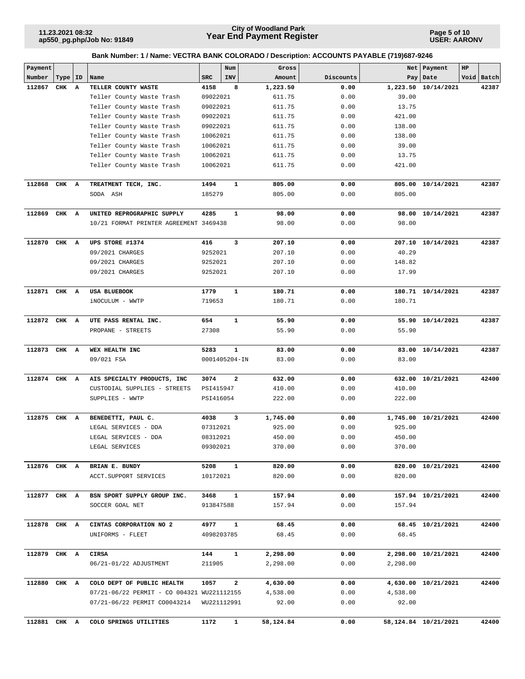**Page 5 of 10 USER: AARONV**

| Payment      |           |                                                                                        |            | Num           | Gross             |              |                   | Net   Payment        | HP |            |
|--------------|-----------|----------------------------------------------------------------------------------------|------------|---------------|-------------------|--------------|-------------------|----------------------|----|------------|
| Number       | Type   ID | Name                                                                                   | <b>SRC</b> | INV           | Amount            | Discounts    |                   | Pay Date             |    | Void Batch |
| 112867       | CHK A     | TELLER COUNTY WASTE                                                                    | 4158       | 8             | 1,223.50          | 0.00         |                   | 1,223.50 10/14/2021  |    | 42387      |
|              |           | Teller County Waste Trash                                                              | 09022021   |               | 611.75            | 0.00         | 39.00             |                      |    |            |
|              |           | Teller County Waste Trash                                                              | 09022021   |               | 611.75            | 0.00         | 13.75             |                      |    |            |
|              |           | Teller County Waste Trash                                                              | 09022021   |               | 611.75            | 0.00         | 421.00            |                      |    |            |
|              |           | Teller County Waste Trash                                                              | 09022021   |               | 611.75            | 0.00         | 138.00            |                      |    |            |
|              |           | Teller County Waste Trash                                                              | 10062021   |               | 611.75            | 0.00         | 138.00            |                      |    |            |
|              |           | Teller County Waste Trash                                                              | 10062021   |               | 611.75            | 0.00         | 39.00             |                      |    |            |
|              |           | Teller County Waste Trash                                                              | 10062021   |               | 611.75            | 0.00         | 13.75             |                      |    |            |
|              |           | Teller County Waste Trash                                                              | 10062021   |               | 611.75            | 0.00         | 421.00            |                      |    |            |
| 112868 CHK A |           | TREATMENT TECH, INC.                                                                   | 1494       | $\mathbf{1}$  | 805.00            | 0.00         |                   | 805.00 10/14/2021    |    | 42387      |
|              |           | SODA ASH                                                                               | 185279     |               | 805.00            | 0.00         | 805.00            |                      |    |            |
| 112869       | CHK A     | UNITED REPROGRAPHIC SUPPLY                                                             | 4285       | 1             | 98.00             | 0.00         |                   | 98.00 10/14/2021     |    | 42387      |
|              |           | 10/21 FORMAT PRINTER AGREEMENT 3469438                                                 |            |               | 98.00             | 0.00         | 98.00             |                      |    |            |
| 112870       | CHK A     | UPS STORE #1374                                                                        | 416        | 3             | 207.10            | 0.00         |                   | 207.10 10/14/2021    |    | 42387      |
|              |           | 09/2021 CHARGES                                                                        | 9252021    |               | 207.10            | 0.00         | 40.29             |                      |    |            |
|              |           | 09/2021 CHARGES                                                                        | 9252021    |               | 207.10            | 0.00         | 148.82            |                      |    |            |
|              |           | 09/2021 CHARGES                                                                        | 9252021    |               | 207.10            | 0.00         | 17.99             |                      |    |            |
| 112871 CHK A |           | USA BLUEBOOK                                                                           | 1779       | $\mathbf{1}$  | 180.71            | 0.00         |                   | 180.71 10/14/2021    |    | 42387      |
|              |           | iNOCULUM - WWTP                                                                        | 719653     |               | 180.71            | 0.00         | 180.71            |                      |    |            |
| 112872 CHK A |           | UTE PASS RENTAL INC.                                                                   | 654        | $\mathbf{1}$  | 55.90             | 0.00         |                   | 55.90 10/14/2021     |    | 42387      |
|              |           | PROPANE - STREETS                                                                      | 27308      |               | 55.90             | 0.00         | 55.90             |                      |    |            |
| 112873       | CHK A     | WEX HEALTH INC                                                                         | 5283       | $\mathbf{1}$  | 83.00             | 0.00         |                   | 83.00 10/14/2021     |    | 42387      |
|              |           | 09/021 FSA                                                                             |            | 0001405204-IN | 83.00             | 0.00         | 83.00             |                      |    |            |
| 112874 CHK A |           | AIS SPECIALTY PRODUCTS, INC                                                            | 3074       | 2             | 632.00            | 0.00         |                   | 632.00 10/21/2021    |    | 42400      |
|              |           | CUSTODIAL SUPPLIES - STREETS                                                           | PSI415947  |               | 410.00            | 0.00         | 410.00            |                      |    |            |
|              |           | SUPPLIES - WWTP                                                                        | PSI416054  |               | 222.00            | 0.00         | 222.00            |                      |    |            |
| 112875 CHK A |           | BENEDETTI, PAUL C.                                                                     | 4038       | 3             | 1,745.00          | 0.00         |                   | 1,745.00 10/21/2021  |    | 42400      |
|              |           | LEGAL SERVICES - DDA                                                                   | 07312021   |               | 925.00            | 0.00         | 925.00            |                      |    |            |
|              |           | LEGAL SERVICES - DDA                                                                   | 08312021   |               | 450.00            | 0.00         | 450.00            |                      |    |            |
|              |           | LEGAL SERVICES                                                                         | 09302021   |               | 370.00            | 0.00         | 370.00            |                      |    |            |
| 112876 CHK A |           | BRIAN E. BUNDY                                                                         | 5208       | $\mathbf{1}$  | 820.00            | 0.00         |                   | 820.00 10/21/2021    |    | 42400      |
|              |           | ACCT. SUPPORT SERVICES                                                                 | 10172021   |               | 820.00            | 0.00         | 820.00            |                      |    |            |
| 112877 CHK A |           | BSN SPORT SUPPLY GROUP INC.                                                            | 3468       | $\mathbf{1}$  | 157.94            | 0.00         |                   | 157.94 10/21/2021    |    | 42400      |
|              |           | SOCCER GOAL NET                                                                        | 913847588  |               | 157.94            | 0.00         | 157.94            |                      |    |            |
| 112878 CHK A |           | CINTAS CORPORATION NO 2                                                                | 4977       | $\mathbf{1}$  | 68.45             | 0.00         |                   | 68.45 10/21/2021     |    | 42400      |
|              |           | UNIFORMS - FLEET                                                                       | 4098203785 |               | 68.45             | 0.00         | 68.45             |                      |    |            |
| 112879 CHK A |           | CIRSA                                                                                  | 144        | $\mathbf{1}$  | 2,298.00          | 0.00         |                   | 2,298.00 10/21/2021  |    | 42400      |
|              |           | 06/21-01/22 ADJUSTMENT                                                                 | 211905     |               | 2,298.00          | 0.00         | 2,298.00          |                      |    |            |
|              |           |                                                                                        |            |               |                   |              |                   |                      |    |            |
| 112880 CHK A |           | COLO DEPT OF PUBLIC HEALTH                                                             | 1057       | $\mathbf{2}$  | 4,630.00          | 0.00         |                   | 4,630.00 10/21/2021  |    | 42400      |
|              |           | 07/21-06/22 PERMIT - CO 004321 WU221112155<br>07/21-06/22 PERMIT CO0043214 WU221112991 |            |               | 4,538.00<br>92.00 | 0.00<br>0.00 | 4,538.00<br>92.00 |                      |    |            |
|              |           |                                                                                        |            |               |                   |              |                   |                      |    |            |
| 112881 CHK A |           | COLO SPRINGS UTILITIES                                                                 | 1172       | $\mathbf{1}$  | 58,124.84         | 0.00         |                   | 58,124.84 10/21/2021 |    | 42400      |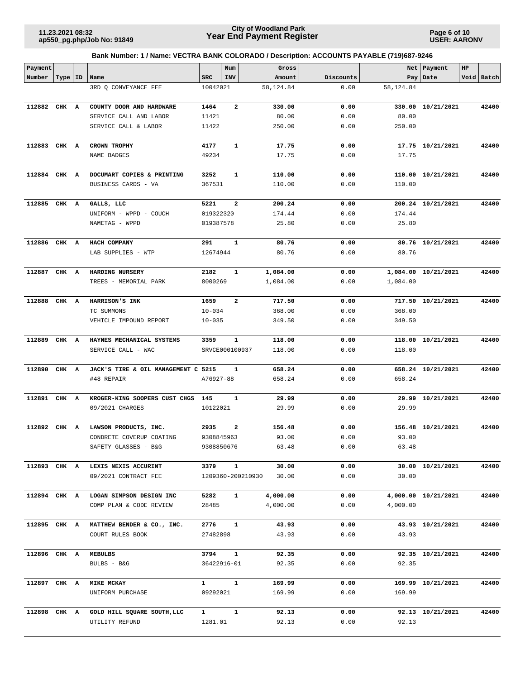**Page 6 of 10 USER: AARONV**

| Payment      |           |                                     |                | Num            |                   | Gross      |           |           | Net   Payment       | HP |            |
|--------------|-----------|-------------------------------------|----------------|----------------|-------------------|------------|-----------|-----------|---------------------|----|------------|
| Number       | Type   ID | Name                                | <b>SRC</b>     | INV            |                   | Amount     | Discounts |           | Pay Date            |    | Void Batch |
|              |           | 3RD Q CONVEYANCE FEE                | 10042021       |                |                   | 58, 124.84 | 0.00      | 58,124.84 |                     |    |            |
| 112882       | CHK A     | COUNTY DOOR AND HARDWARE            | 1464           | $\overline{a}$ |                   | 330.00     | 0.00      |           | 330.00 10/21/2021   |    | 42400      |
|              |           | SERVICE CALL AND LABOR              | 11421          |                |                   | 80.00      | 0.00      | 80.00     |                     |    |            |
|              |           | SERVICE CALL & LABOR                | 11422          |                |                   | 250.00     | 0.00      | 250.00    |                     |    |            |
|              |           |                                     |                |                |                   |            |           |           |                     |    |            |
| 112883 CHK A |           | <b>CROWN TROPHY</b>                 | 4177           | $\mathbf{1}$   |                   | 17.75      | 0.00      |           | 17.75 10/21/2021    |    | 42400      |
|              |           | NAME BADGES                         | 49234          |                |                   | 17.75      | 0.00      | 17.75     |                     |    |            |
|              |           |                                     |                |                |                   |            |           |           |                     |    |            |
| 112884 CHK A |           | DOCUMART COPIES & PRINTING          | 3252           | 1              |                   | 110.00     | 0.00      |           | 110.00 10/21/2021   |    | 42400      |
|              |           | BUSINESS CARDS - VA                 | 367531         |                |                   | 110.00     | 0.00      | 110.00    |                     |    |            |
|              |           |                                     |                |                |                   |            |           |           |                     |    |            |
| 112885 CHK A |           | GALLS, LLC                          | 5221           | $\mathbf{2}$   |                   | 200.24     | 0.00      |           | 200.24 10/21/2021   |    | 42400      |
|              |           | UNIFORM - WPPD - COUCH              | 019322320      |                |                   | 174.44     | 0.00      | 174.44    |                     |    |            |
|              |           | NAMETAG - WPPD                      | 019387578      |                |                   | 25.80      | 0.00      | 25.80     |                     |    |            |
| 112886 CHK A |           | HACH COMPANY                        | 291            | 1              |                   | 80.76      | 0.00      |           | 80.76 10/21/2021    |    | 42400      |
|              |           | LAB SUPPLIES - WTP                  | 12674944       |                |                   | 80.76      | 0.00      | 80.76     |                     |    |            |
|              |           |                                     |                |                |                   |            |           |           |                     |    |            |
| 112887 CHK A |           | HARDING NURSERY                     | 2182           | 1              |                   | 1,084.00   | 0.00      |           | 1,084.00 10/21/2021 |    | 42400      |
|              |           | TREES - MEMORIAL PARK               | 8000269        |                |                   | 1,084.00   | 0.00      | 1,084.00  |                     |    |            |
|              |           |                                     |                |                |                   |            |           |           |                     |    |            |
| 112888       | CHK A     | HARRISON'S INK                      | 1659           | $\mathbf{2}$   |                   | 717.50     | 0.00      |           | 717.50 10/21/2021   |    | 42400      |
|              |           | TC SUMMONS                          | $10 - 034$     |                |                   | 368.00     | 0.00      | 368.00    |                     |    |            |
|              |           | VEHICLE IMPOUND REPORT              | $10 - 035$     |                |                   | 349.50     | 0.00      | 349.50    |                     |    |            |
|              |           |                                     |                |                |                   |            |           |           |                     |    |            |
| 112889       | CHK A     | HAYNES MECHANICAL SYSTEMS           | 3359           | 1              |                   | 118.00     | 0.00      |           | 118.00 10/21/2021   |    | 42400      |
|              |           | SERVICE CALL - WAC                  | SRVCE000100937 |                |                   | 118.00     | 0.00      | 118.00    |                     |    |            |
|              |           |                                     |                |                |                   |            |           |           |                     |    |            |
| 112890       | CHK A     | JACK'S TIRE & OIL MANAGEMENT C 5215 |                | $\mathbf{1}$   |                   | 658.24     | 0.00      |           | 658.24 10/21/2021   |    | 42400      |
|              |           | #48 REPAIR                          | A76927-88      |                |                   | 658.24     | 0.00      | 658.24    |                     |    |            |
| 112891 CHK A |           | KROGER-KING SOOPERS CUST CHGS       | 145            | 1              |                   | 29.99      | 0.00      |           | 29.99 10/21/2021    |    | 42400      |
|              |           | 09/2021 CHARGES                     | 10122021       |                |                   | 29.99      | 0.00      | 29.99     |                     |    |            |
|              |           |                                     |                |                |                   |            |           |           |                     |    |            |
| 112892 CHK A |           | LAWSON PRODUCTS, INC.               | 2935           | 2              |                   | 156.48     | 0.00      |           | 156.48 10/21/2021   |    | 42400      |
|              |           | CONDRETE COVERUP COATING            | 9308845963     |                |                   | 93.00      | 0.00      | 93.00     |                     |    |            |
|              |           | SAFETY GLASSES - B&G                | 9308850676     |                |                   | 63.48      | 0.00      | 63.48     |                     |    |            |
|              |           |                                     |                |                |                   |            |           |           |                     |    |            |
| 112893 CHK A |           | LEXIS NEXIS ACCURINT                | 3379           | $\mathbf{1}$   |                   | 30.00      | 0.00      |           | 30.00 10/21/2021    |    | 42400      |
|              |           | 09/2021 CONTRACT FEE                |                |                | 1209360-200210930 | 30.00      | 0.00      | 30.00     |                     |    |            |
|              |           |                                     |                |                |                   |            |           |           |                     |    |            |
| 112894 CHK A |           | LOGAN SIMPSON DESIGN INC            | 5282           | $\mathbf{1}$   |                   | 4,000.00   | 0.00      |           | 4,000.00 10/21/2021 |    | 42400      |
|              |           | COMP PLAN & CODE REVIEW             | 28485          |                |                   | 4,000.00   | 0.00      | 4,000.00  |                     |    |            |
| 112895 CHK A |           | MATTHEW BENDER & CO., INC.          | 2776           | $\mathbf{1}$   |                   | 43.93      | 0.00      |           | 43.93 10/21/2021    |    | 42400      |
|              |           | COURT RULES BOOK                    | 27482898       |                |                   | 43.93      | 0.00      | 43.93     |                     |    |            |
|              |           |                                     |                |                |                   |            |           |           |                     |    |            |
| 112896 CHK A |           | MEBULBS                             | 3794           | $\mathbf{1}$   |                   | 92.35      | 0.00      |           | 92.35 10/21/2021    |    | 42400      |
|              |           | BULBS - B&G                         | 36422916-01    |                |                   | 92.35      | 0.00      | 92.35     |                     |    |            |
|              |           |                                     |                |                |                   |            |           |           |                     |    |            |
| 112897 CHK A |           | <b>MIKE MCKAY</b>                   | $\mathbf{1}$   | $\mathbf{1}$   |                   | 169.99     | 0.00      |           | 169.99 10/21/2021   |    | 42400      |
|              |           | UNIFORM PURCHASE                    | 09292021       |                |                   | 169.99     | 0.00      | 169.99    |                     |    |            |
|              |           |                                     |                |                |                   |            |           |           |                     |    |            |
| 112898 CHK A |           | GOLD HILL SQUARE SOUTH, LLC         | $\mathbf{1}$   | $\mathbf{1}$   |                   | 92.13      | 0.00      |           | 92.13 10/21/2021    |    | 42400      |
|              |           | UTILITY REFUND                      | 1281.01        |                |                   | 92.13      | 0.00      | 92.13     |                     |    |            |
|              |           |                                     |                |                |                   |            |           |           |                     |    |            |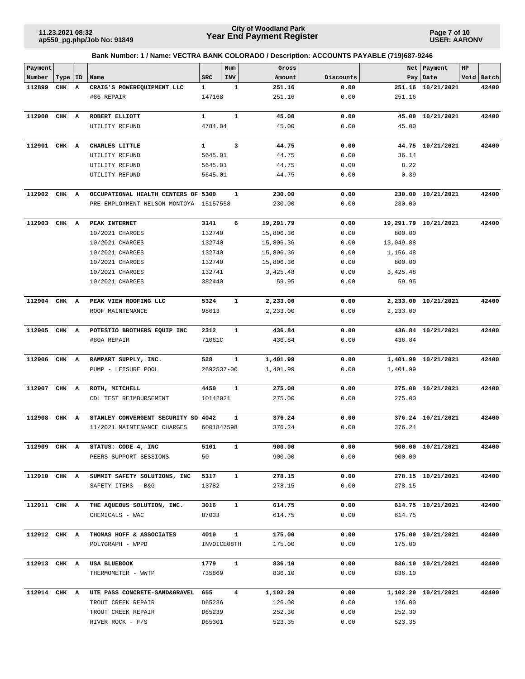**Page 7 of 10 USER: AARONV**

| Payment      |           |   |                                               |               | Num            | Gross            |              |           | Net   Payment        | HP |            |
|--------------|-----------|---|-----------------------------------------------|---------------|----------------|------------------|--------------|-----------|----------------------|----|------------|
| Number       | Type   ID |   | Name                                          | <b>SRC</b>    | INV            | Amount           | Discounts    | Pay       | Date                 |    | Void Batch |
| 112899       | CHK       | A | CRAIG'S POWEREQUIPMENT LLC                    | 1             | 1              | 251.16           | 0.00         |           | 251.16 10/21/2021    |    | 42400      |
|              |           |   | #86 REPAIR                                    | 147168        |                | 251.16           | 0.00         | 251.16    |                      |    |            |
|              |           |   |                                               |               |                |                  |              |           |                      |    |            |
| 112900       | CHK A     |   | ROBERT ELLIOTT                                | $\mathbf{1}$  | $\mathbf{1}$   | 45.00            | 0.00         |           | 45.00 10/21/2021     |    | 42400      |
|              |           |   | UTILITY REFUND                                | 4784.04       |                | 45.00            | 0.00         | 45.00     |                      |    |            |
| 112901 CHK A |           |   | CHARLES LITTLE                                | $\mathbf{1}$  | 3              | 44.75            | 0.00         |           | 44.75 10/21/2021     |    | 42400      |
|              |           |   | UTILITY REFUND                                | 5645.01       |                | 44.75            | 0.00         | 36.14     |                      |    |            |
|              |           |   | UTILITY REFUND                                | 5645.01       |                | 44.75            | 0.00         | 8.22      |                      |    |            |
|              |           |   | UTILITY REFUND                                | 5645.01       |                | 44.75            | 0.00         | 0.39      |                      |    |            |
|              |           |   |                                               |               |                |                  |              |           |                      |    |            |
| 112902 CHK A |           |   | OCCUPATIONAL HEALTH CENTERS OF 5300           |               | 1              | 230.00           | 0.00         |           | 230.00 10/21/2021    |    | 42400      |
|              |           |   | PRE-EMPLOYMENT NELSON MONTOYA 15157558        |               |                | 230.00           | 0.00         | 230.00    |                      |    |            |
| 112903       | CHK       | A | PEAK INTERNET                                 | 3141          | 6              | 19,291.79        | 0.00         |           | 19,291.79 10/21/2021 |    | 42400      |
|              |           |   | 10/2021 CHARGES                               | 132740        |                | 15,806.36        | 0.00         | 800.00    |                      |    |            |
|              |           |   | 10/2021 CHARGES                               | 132740        |                | 15,806.36        | 0.00         | 13,049.88 |                      |    |            |
|              |           |   | 10/2021 CHARGES                               | 132740        |                | 15,806.36        | 0.00         | 1,156.48  |                      |    |            |
|              |           |   | 10/2021 CHARGES                               | 132740        |                | 15,806.36        | 0.00         | 800.00    |                      |    |            |
|              |           |   | 10/2021 CHARGES                               | 132741        |                | 3,425.48         | 0.00         | 3,425.48  |                      |    |            |
|              |           |   | 10/2021 CHARGES                               | 382440        |                | 59.95            | 0.00         | 59.95     |                      |    |            |
| 112904 CHK A |           |   | PEAK VIEW ROOFING LLC                         | 5324          | $\mathbf{1}$   | 2,233.00         | 0.00         |           | 2,233.00 10/21/2021  |    | 42400      |
|              |           |   | ROOF MAINTENANCE                              | 98613         |                | 2,233.00         | 0.00         | 2,233.00  |                      |    |            |
|              |           |   |                                               |               |                |                  |              |           |                      |    |            |
| 112905 CHK A |           |   | POTESTIO BROTHERS EQUIP INC                   | 2312          | $\mathbf{1}$   | 436.84           | 0.00         |           | 436.84 10/21/2021    |    | 42400      |
|              |           |   | #80A REPAIR                                   | 71061C        |                | 436.84           | 0.00         | 436.84    |                      |    |            |
|              |           |   |                                               |               |                |                  |              |           |                      |    |            |
| 112906       | CHK A     |   | RAMPART SUPPLY, INC.                          | 528           | $\mathbf{1}$   | 1,401.99         | 0.00         |           | 1,401.99 10/21/2021  |    | 42400      |
|              |           |   | PUMP - LEISURE POOL                           | 2692537-00    |                | 1,401.99         | 0.00         | 1,401.99  |                      |    |            |
| 112907       | CHK A     |   | ROTH, MITCHELL                                | 4450          | $\mathbf{1}$   | 275.00           | 0.00         |           | 275.00 10/21/2021    |    | 42400      |
|              |           |   | CDL TEST REIMBURSEMENT                        | 10142021      |                | 275.00           | 0.00         | 275.00    |                      |    |            |
|              |           |   |                                               |               |                |                  |              |           |                      |    |            |
| 112908       | CHK A     |   | STANLEY CONVERGENT SECURITY SO 4042           |               | 1              | 376.24           | 0.00         |           | 376.24 10/21/2021    |    | 42400      |
|              |           |   | 11/2021 MAINTENANCE CHARGES                   | 6001847598    |                | 376.24           | 0.00         | 376.24    |                      |    |            |
| 112909 CHK A |           |   | STATUS: CODE 4, INC                           | 5101          |                | 900.00           | 0.00         |           | 900.00 10/21/2021    |    | 42400      |
|              |           |   | PEERS SUPPORT SESSIONS                        | 50            |                | 900.00           | 0.00         | 900.00    |                      |    |            |
|              |           |   |                                               |               |                |                  |              |           |                      |    |            |
| 112910 CHK A |           |   | SUMMIT SAFETY SOLUTIONS, INC                  | 5317          | $\mathbf{1}$   | 278.15           | 0.00         |           | 278.15 10/21/2021    |    | 42400      |
|              |           |   | SAFETY ITEMS - B&G                            | 13782         |                | 278.15           | 0.00         | 278.15    |                      |    |            |
|              |           |   |                                               |               |                |                  |              |           |                      |    |            |
| 112911 CHK A |           |   | THE AQUEOUS SOLUTION, INC.<br>CHEMICALS - WAC | 3016<br>87033 | $\mathbf{1}$   | 614.75<br>614.75 | 0.00<br>0.00 | 614.75    | 614.75 10/21/2021    |    | 42400      |
|              |           |   |                                               |               |                |                  |              |           |                      |    |            |
| 112912 CHK A |           |   | THOMAS HOFF & ASSOCIATES                      | 4010          | $\mathbf{1}$   | 175.00           | 0.00         |           | 175.00 10/21/2021    |    | 42400      |
|              |           |   | POLYGRAPH - WPPD                              |               | INVOICE08TH    | 175.00           | 0.00         | 175.00    |                      |    |            |
|              |           |   |                                               |               |                |                  |              |           |                      |    |            |
| 112913 CHK A |           |   | USA BLUEBOOK                                  | 1779          | $\mathbf{1}$   | 836.10           | 0.00         |           | 836.10 10/21/2021    |    | 42400      |
|              |           |   | THERMOMETER - WWTP                            | 735869        |                | 836.10           | 0.00         | 836.10    |                      |    |            |
| 112914 CHK A |           |   | UTE PASS CONCRETE-SAND&GRAVEL 655             |               | $\overline{4}$ | 1,102.20         | 0.00         |           | 1,102.20 10/21/2021  |    | 42400      |
|              |           |   | TROUT CREEK REPAIR                            | D65236        |                | 126.00           | 0.00         | 126.00    |                      |    |            |
|              |           |   | TROUT CREEK REPAIR                            | D65239        |                | 252.30           | 0.00         | 252.30    |                      |    |            |
|              |           |   | RIVER ROCK - F/S                              | D65301        |                | 523.35           | 0.00         | 523.35    |                      |    |            |
|              |           |   |                                               |               |                |                  |              |           |                      |    |            |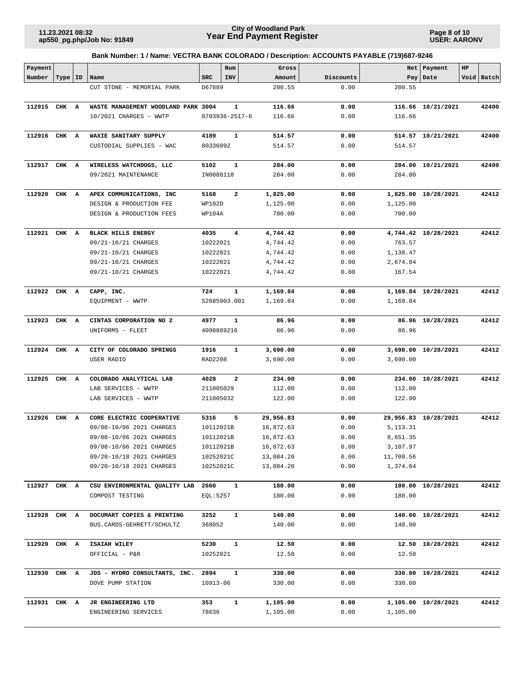**Page 8 of 10 USER: AARONV**

| Payment      |           |   |                                     |                | Num                  | Gross            |           |            | Net   Payment        | HP |            |
|--------------|-----------|---|-------------------------------------|----------------|----------------------|------------------|-----------|------------|----------------------|----|------------|
| Number       | Type   ID |   | Name                                | <b>SRC</b>     | INV                  | Amount           | Discounts |            | Pay   Date           |    | Void Batch |
|              |           |   | CUT STONE - MEMORIAL PARK           | D67889         |                      | 200.55           | 0.00      | 200.55     |                      |    |            |
| 112915 CHK A |           |   | WASTE MANAGEMENT WOODLAND PARK 3004 |                | ${\bf 1}$            | 116.66           | 0.00      |            | 116.66 10/21/2021    |    | 42400      |
|              |           |   | 10/2021 CHARGES - WWTP              |                | $0703936 - 2517 - 6$ | 116.66           | 0.00      | 116.66     |                      |    |            |
|              |           |   |                                     |                |                      |                  |           |            |                      |    |            |
| 112916 CHK A |           |   | WAXIE SANITARY SUPPLY               | 4189           | 1                    | 514.57           | 0.00      |            | 514.57 10/21/2021    |    | 42400      |
|              |           |   | CUSTODIAL SUPPLIES - WAC            | 80336092       |                      | 514.57           | 0.00      | 514.57     |                      |    |            |
| 112917       | CHK A     |   | WIRELESS WATCHDOGS, LLC             | 5102           | 1                    | 284.00           | 0.00      |            | 284.00 10/21/2021    |    | 42400      |
|              |           |   | 09/2021 MAINTENANCE                 | IN0088118      |                      | 284.00           | 0.00      | 284.00     |                      |    |            |
|              |           |   |                                     |                |                      |                  |           |            |                      |    |            |
| 112920       | CHK       | A | APEX COMMUNICATIONS, INC            | 5168           | $\mathbf{2}$         | 1,825.00         | 0.00      |            | 1,825.00 10/28/2021  |    | 42412      |
|              |           |   | DESIGN & PRODUCTION FEE             | WP102D         |                      | 1,125.00         | 0.00      | 1,125.00   |                      |    |            |
|              |           |   | DESIGN & PRODUCTION FEES            | WP104A         |                      | 700.00           | 0.00      | 700.00     |                      |    |            |
| 112921 CHK A |           |   | <b>BLACK HILLS ENERGY</b>           | 4035           | 4                    | 4,744.42         | 0.00      |            | 4,744.42 10/28/2021  |    | 42412      |
|              |           |   | 09/21-10/21 CHARGES                 | 10222021       |                      | 4,744.42         | 0.00      | 763.57     |                      |    |            |
|              |           |   | 09/21-10/21 CHARGES                 | 10222021       |                      | 4,744.42         | 0.00      | 1,138.47   |                      |    |            |
|              |           |   | 09/21-10/21 CHARGES                 | 10222021       |                      | 4,744.42         | 0.00      | 2,674.84   |                      |    |            |
|              |           |   | 09/21-10/21 CHARGES                 | 10222021       |                      | 4,744.42         | 0.00      | 167.54     |                      |    |            |
| 112922 CHK A |           |   | CAPP, INC.                          | 724            | $\mathbf{1}$         | 1,169.84         | 0.00      |            | 1,169.84 10/28/2021  |    | 42412      |
|              |           |   | EQUIPMENT - WWTP                    |                | S2685903.001         | 1,169.84         | 0.00      | 1,169.84   |                      |    |            |
|              |           |   |                                     |                |                      |                  |           |            |                      |    |            |
| 112923       | CHK A     |   | CINTAS CORPORATION NO 2             | 4977           | 1                    | 86.96            | 0.00      |            | 86.96 10/28/2021     |    | 42412      |
|              |           |   | UNIFORMS - FLEET                    |                | 4098889216           | 86.96            | 0.00      | 86.96      |                      |    |            |
| 112924       | CHK A     |   | CITY OF COLORADO SPRINGS            | 1916           | $\mathbf{1}$         | 3,690.00         | 0.00      |            | 3,690.00 10/28/2021  |    | 42412      |
|              |           |   | USER RADIO                          | RAD2208        |                      | 3,690.00         | 0.00      | 3,690.00   |                      |    |            |
|              |           |   |                                     |                |                      |                  |           |            |                      |    |            |
| 112925       | CHK       | A | COLORADO ANALYTICAL LAB             | 4028           | $\mathbf{2}$         | 234.00           | 0.00      |            | 234.00 10/28/2021    |    | 42412      |
|              |           |   | LAB SERVICES - WWTP                 | 211005029      |                      | 112.00           | 0.00      | 112.00     |                      |    |            |
|              |           |   | LAB SERVICES - WWTP                 | 211005032      |                      | 122.00           | 0.00      | 122.00     |                      |    |            |
| 112926 CHK A |           |   | CORE ELECTRIC COOPERATIVE           | 5316           | 5                    | 29,956.83        | 0.00      |            | 29,956.83 10/28/2021 |    | 42412      |
|              |           |   | 09/08-10/06 2021 CHARGES            | 10112021B      |                      | 16,872.63        | 0.00      | 5, 113. 31 |                      |    |            |
|              |           |   | 09/08-10/06 2021 CHARGES            | 10112021B      |                      | 16,872.63        | 0.00      | 8,651.35   |                      |    |            |
|              |           |   | 09/08-10/06 2021 CHARGES            | 10112021B      |                      | 16,872.63        | 0.00      | 3,107.97   |                      |    |            |
|              |           |   | 09/20-10/18 2021 CHARGES            | 10252021C      |                      | 13,084.20        | 0.00      | 11,709.56  |                      |    |            |
|              |           |   | 09/20-10/18 2021 CHARGES            | 10252021C      |                      | 13,084.20        | 0.00      | 1,374.64   |                      |    |            |
| 112927 CHK A |           |   | CSU ENVIRONMENTAL QUALITY LAB       | 2660           | $\mathbf{1}$         | 180.00           | 0.00      |            | 180.00 10/28/2021    |    | 42412      |
|              |           |   | COMPOST TESTING                     | EQL:5257       |                      | 180.00           | 0.00      | 180.00     |                      |    |            |
|              |           |   | DOCUMART COPIES & PRINTING          |                | $\mathbf{1}$         |                  | 0.00      |            | 140.00 10/28/2021    |    |            |
| 112928 CHK A |           |   | BUS.CARDS-GEHRETT/SCHULTZ           | 3252<br>368052 |                      | 140.00<br>140.00 | 0.00      | 140.00     |                      |    | 42412      |
|              |           |   |                                     |                |                      |                  |           |            |                      |    |            |
| 112929 CHK A |           |   | ISAIAH WILEY                        | 5230           | $\mathbf{1}$         | 12.50            | 0.00      |            | 12.50 10/28/2021     |    | 42412      |
|              |           |   | OFFICIAL - P&R                      | 10252021       |                      | 12.50            | 0.00      | 12.50      |                      |    |            |
| 112930 CHK A |           |   | JDS - HYDRO CONSULTANTS, INC.       | 2894           | 1                    | 330.00           | 0.00      |            | 330.00 10/28/2021    |    | 42412      |
|              |           |   | DOVE PUMP STATION                   | 10913-06       |                      | 330.00           | 0.00      | 330.00     |                      |    |            |
|              |           |   |                                     |                |                      |                  |           |            |                      |    |            |
| 112931 CHK A |           |   | JR ENGINEERING LTD                  | 353            | $\mathbf{1}$         | 1,105.00         | 0.00      |            | 1,105.00 10/28/2021  |    | 42412      |
|              |           |   | ENGINEERING SERVICES                | 78636          |                      | 1,105.00         | 0.00      | 1,105.00   |                      |    |            |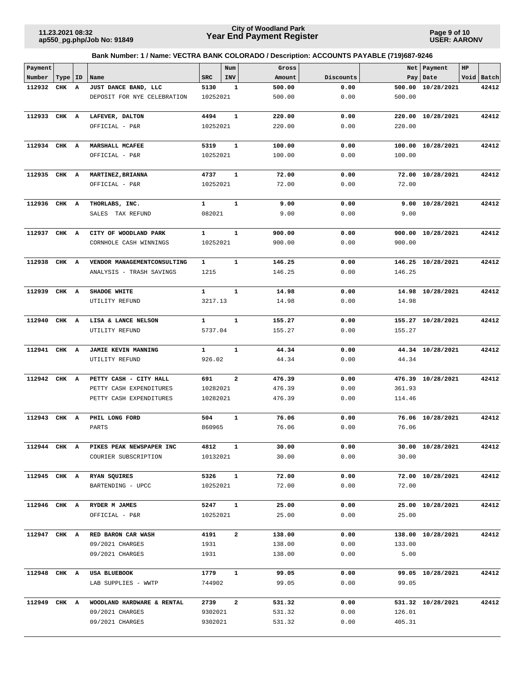**Page 9 of 10 USER: AARONV**

| Payment      |       |    |                                 |                  | Num          | Gross          |              | Net    | Payment           | HP |            |
|--------------|-------|----|---------------------------------|------------------|--------------|----------------|--------------|--------|-------------------|----|------------|
| Number       | Type  | ID | Name                            | <b>SRC</b>       | INV          | Amount         | Discounts    | Pay    | Date              |    | Void Batch |
| 112932       | CHK A |    | JUST DANCE BAND, LLC            | 5130             | 1            | 500.00         | 0.00         | 500.00 | 10/28/2021        |    | 42412      |
|              |       |    | DEPOSIT FOR NYE CELEBRATION     | 10252021         |              | 500.00         | 0.00         | 500.00 |                   |    |            |
| 112933       | CHK A |    | LAFEVER, DALTON                 | 4494             | $\mathbf{1}$ | 220.00         | 0.00         | 220.00 | 10/28/2021        |    | 42412      |
|              |       |    | OFFICIAL - P&R                  | 10252021         |              | 220.00         | 0.00         | 220.00 |                   |    |            |
|              |       |    |                                 |                  |              |                |              |        |                   |    |            |
| 112934 CHK A |       |    | MARSHALL MCAFEE                 | 5319             | $\mathbf{1}$ | 100.00         | 0.00         |        | 100.00 10/28/2021 |    | 42412      |
|              |       |    | OFFICIAL - P&R                  | 10252021         |              | 100.00         | 0.00         | 100.00 |                   |    |            |
|              |       |    |                                 |                  |              |                |              |        |                   |    |            |
| 112935 CHK A |       |    | MARTINEZ, BRIANNA               | 4737             | $\mathbf{1}$ | 72.00          | 0.00         |        | 72.00 10/28/2021  |    | 42412      |
|              |       |    | OFFICIAL - P&R                  | 10252021         |              | 72.00          | 0.00         | 72.00  |                   |    |            |
| 112936 CHK A |       |    | THORLABS, INC.                  | $\mathbf{1}$     | $\mathbf{1}$ | 9.00           | 0.00         |        | 9.00 10/28/2021   |    | 42412      |
|              |       |    | SALES TAX REFUND                | 082021           |              | 9.00           | 0.00         | 9.00   |                   |    |            |
|              |       |    |                                 |                  |              |                |              |        |                   |    |            |
| 112937       | CHK A |    | CITY OF WOODLAND PARK           | $\mathbf{1}$     | $\mathbf{1}$ | 900.00         | 0.00         |        | 900.00 10/28/2021 |    | 42412      |
|              |       |    | CORNHOLE CASH WINNINGS          | 10252021         |              | 900.00         | 0.00         | 900.00 |                   |    |            |
|              |       |    |                                 |                  |              |                |              |        |                   |    |            |
| 112938       | CHK A |    | VENDOR MANAGEMENTCONSULTING     | $\mathbf{1}$     | $\mathbf{1}$ | 146.25         | 0.00         |        | 146.25 10/28/2021 |    | 42412      |
|              |       |    | ANALYSIS - TRASH SAVINGS        | 1215             |              | 146.25         | 0.00         | 146.25 |                   |    |            |
| 112939       | CHK A |    | SHADOE WHITE                    | $\mathbf{1}$     | $\mathbf{1}$ | 14.98          | 0.00         |        | 14.98 10/28/2021  |    | 42412      |
|              |       |    | UTILITY REFUND                  | 3217.13          |              | 14.98          | 0.00         | 14.98  |                   |    |            |
|              |       |    |                                 |                  |              |                |              |        |                   |    |            |
| 112940       | CHK A |    | LISA & LANCE NELSON             | $\mathbf{1}$     | $\mathbf{1}$ | 155.27         | 0.00         |        | 155.27 10/28/2021 |    | 42412      |
|              |       |    | UTILITY REFUND                  | 5737.04          |              | 155.27         | 0.00         | 155.27 |                   |    |            |
| 112941 CHK A |       |    | JAMIE KEVIN MANNING             | $\mathbf{1}$     | $\mathbf{1}$ | 44.34          | 0.00         |        | 44.34 10/28/2021  |    | 42412      |
|              |       |    | UTILITY REFUND                  | 926.02           |              | 44.34          | 0.00         | 44.34  |                   |    |            |
|              |       |    |                                 |                  |              |                |              |        |                   |    |            |
| 112942       | CHK A |    | PETTY CASH - CITY HALL          | 691              | $\mathbf{2}$ | 476.39         | 0.00         |        | 476.39 10/28/2021 |    | 42412      |
|              |       |    | PETTY CASH EXPENDITURES         | 10282021         |              | 476.39         | 0.00         | 361.93 |                   |    |            |
|              |       |    | PETTY CASH EXPENDITURES         | 10282021         |              | 476.39         | 0.00         | 114.46 |                   |    |            |
|              |       |    |                                 |                  |              |                |              |        |                   |    |            |
| 112943       | CHK A |    | PHIL LONG FORD                  | 504              | $\mathbf{1}$ | 76.06          | 0.00         |        | 76.06 10/28/2021  |    | 42412      |
|              |       |    | PARTS                           | 860965           |              | 76.06          | 0.00         | 76.06  |                   |    |            |
| 112944 CHK A |       |    | <b>PIKES PEAK NEWSPAPER INC</b> | 4812 1           |              | 30.00          | 0.00         |        | 30.00 10/28/2021  |    | 42412      |
|              |       |    | COURIER SUBSCRIPTION            | 10132021         |              | 30.00          | 0.00         | 30.00  |                   |    |            |
|              |       |    |                                 |                  |              |                |              |        |                   |    |            |
| 112945 CHK A |       |    | RYAN SQUIRES                    | 5326             | $\mathbf{1}$ | 72.00          | 0.00         |        | 72.00 10/28/2021  |    | 42412      |
|              |       |    | BARTENDING - UPCC               | 10252021         |              | 72.00          | 0.00         | 72.00  |                   |    |            |
|              |       |    |                                 |                  |              |                |              |        |                   |    |            |
| 112946 CHK A |       |    | RYDER M JAMES<br>OFFICIAL - P&R | 5247<br>10252021 | $\mathbf{1}$ | 25.00<br>25.00 | 0.00<br>0.00 | 25.00  | 25.00 10/28/2021  |    | 42412      |
|              |       |    |                                 |                  |              |                |              |        |                   |    |            |
| 112947 CHK A |       |    | RED BARON CAR WASH              | 4191             | $\mathbf{2}$ | 138.00         | 0.00         |        | 138.00 10/28/2021 |    | 42412      |
|              |       |    | 09/2021 CHARGES                 | 1931             |              | 138.00         | 0.00         | 133.00 |                   |    |            |
|              |       |    | 09/2021 CHARGES                 | 1931             |              | 138.00         | 0.00         | 5.00   |                   |    |            |
|              |       |    |                                 |                  |              |                |              |        |                   |    |            |
| 112948 CHK A |       |    | USA BLUEBOOK                    | 1779             | $\mathbf{1}$ | 99.05          | 0.00         |        | 99.05 10/28/2021  |    | 42412      |
|              |       |    | LAB SUPPLIES - WWTP             | 744902           |              | 99.05          | 0.00         | 99.05  |                   |    |            |
| 112949 CHK A |       |    | WOODLAND HARDWARE & RENTAL      | 2739             | $\mathbf{2}$ | 531.32         | 0.00         |        | 531.32 10/28/2021 |    | 42412      |
|              |       |    | 09/2021 CHARGES                 | 9302021          |              | 531.32         | 0.00         | 126.01 |                   |    |            |
|              |       |    | 09/2021 CHARGES                 | 9302021          |              | 531.32         | 0.00         | 405.31 |                   |    |            |
|              |       |    |                                 |                  |              |                |              |        |                   |    |            |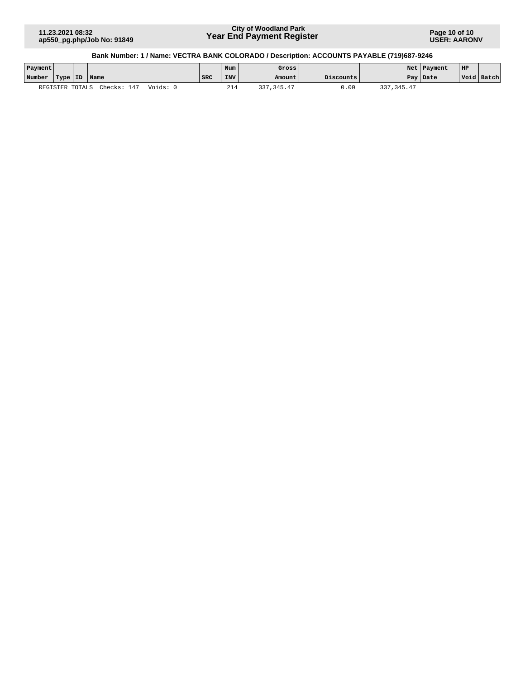**Page 10 of 10 USER: AARONV**

| Payment |                 |                         |                  | Num        | Gross          |           |             | Net   Payment | HP |            |
|---------|-----------------|-------------------------|------------------|------------|----------------|-----------|-------------|---------------|----|------------|
| Number  |                 | Type ID Name            | <sup>1</sup> SRC | <b>INV</b> | Amount         | Discounts |             | Pay   Date    |    | Void Batch |
|         | REGISTER TOTALS | Checks: 147<br>Voids: 0 |                  | 214        | .345.47<br>337 | J.OO      | 337, 345.47 |               |    |            |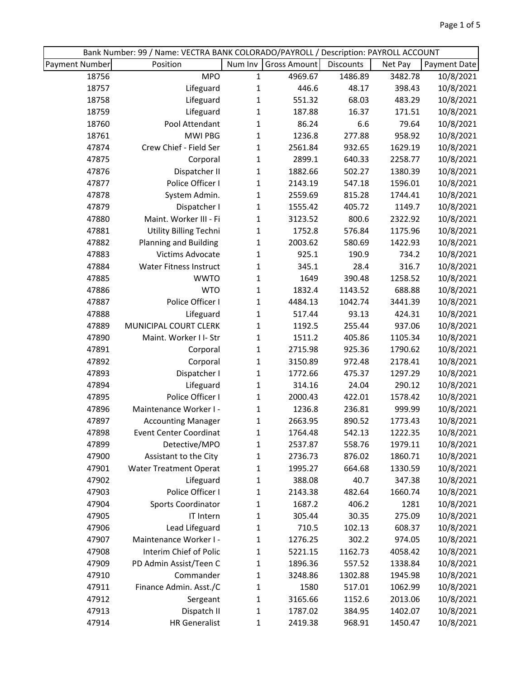| Bank Number: 99 / Name: VECTRA BANK COLORADO/PAYROLL / Description: PAYROLL ACCOUNT |                               |              |                     |           |         |              |
|-------------------------------------------------------------------------------------|-------------------------------|--------------|---------------------|-----------|---------|--------------|
| Payment Number                                                                      | Position                      | Num Inv      | <b>Gross Amount</b> | Discounts | Net Pay | Payment Date |
| 18756                                                                               | <b>MPO</b>                    | $\mathbf{1}$ | 4969.67             | 1486.89   | 3482.78 | 10/8/2021    |
| 18757                                                                               | Lifeguard                     | $\mathbf{1}$ | 446.6               | 48.17     | 398.43  | 10/8/2021    |
| 18758                                                                               | Lifeguard                     | $\mathbf{1}$ | 551.32              | 68.03     | 483.29  | 10/8/2021    |
| 18759                                                                               | Lifeguard                     | $\mathbf 1$  | 187.88              | 16.37     | 171.51  | 10/8/2021    |
| 18760                                                                               | Pool Attendant                | $\mathbf{1}$ | 86.24               | 6.6       | 79.64   | 10/8/2021    |
| 18761                                                                               | <b>MWI PBG</b>                | $\mathbf{1}$ | 1236.8              | 277.88    | 958.92  | 10/8/2021    |
| 47874                                                                               | Crew Chief - Field Ser        | $\mathbf{1}$ | 2561.84             | 932.65    | 1629.19 | 10/8/2021    |
| 47875                                                                               | Corporal                      | $\mathbf{1}$ | 2899.1              | 640.33    | 2258.77 | 10/8/2021    |
| 47876                                                                               | Dispatcher II                 | $\mathbf{1}$ | 1882.66             | 502.27    | 1380.39 | 10/8/2021    |
| 47877                                                                               | Police Officer I              | $\mathbf{1}$ | 2143.19             | 547.18    | 1596.01 | 10/8/2021    |
| 47878                                                                               | System Admin.                 | $\mathbf{1}$ | 2559.69             | 815.28    | 1744.41 | 10/8/2021    |
| 47879                                                                               | Dispatcher I                  | $\mathbf{1}$ | 1555.42             | 405.72    | 1149.7  | 10/8/2021    |
| 47880                                                                               | Maint. Worker III - Fi        | $\mathbf{1}$ | 3123.52             | 800.6     | 2322.92 | 10/8/2021    |
| 47881                                                                               | Utility Billing Techni        | $\mathbf{1}$ | 1752.8              | 576.84    | 1175.96 | 10/8/2021    |
| 47882                                                                               | <b>Planning and Building</b>  | $\mathbf{1}$ | 2003.62             | 580.69    | 1422.93 | 10/8/2021    |
| 47883                                                                               | Victims Advocate              | $\mathbf{1}$ | 925.1               | 190.9     | 734.2   | 10/8/2021    |
| 47884                                                                               | <b>Water Fitness Instruct</b> | $\mathbf{1}$ | 345.1               | 28.4      | 316.7   | 10/8/2021    |
| 47885                                                                               | <b>WWTO</b>                   | 1            | 1649                | 390.48    | 1258.52 | 10/8/2021    |
| 47886                                                                               | <b>WTO</b>                    | $\mathbf 1$  | 1832.4              | 1143.52   | 688.88  | 10/8/2021    |
| 47887                                                                               | Police Officer I              | $\mathbf{1}$ | 4484.13             | 1042.74   | 3441.39 | 10/8/2021    |
| 47888                                                                               | Lifeguard                     | $\mathbf{1}$ | 517.44              | 93.13     | 424.31  | 10/8/2021    |
| 47889                                                                               | MUNICIPAL COURT CLERK         | $\mathbf{1}$ | 1192.5              | 255.44    | 937.06  | 10/8/2021    |
| 47890                                                                               | Maint. Worker I I- Str        | $\mathbf{1}$ | 1511.2              | 405.86    | 1105.34 | 10/8/2021    |
| 47891                                                                               | Corporal                      | $\mathbf{1}$ | 2715.98             | 925.36    | 1790.62 | 10/8/2021    |
| 47892                                                                               | Corporal                      | $\mathbf{1}$ | 3150.89             | 972.48    | 2178.41 | 10/8/2021    |
| 47893                                                                               | Dispatcher I                  | 1            | 1772.66             | 475.37    | 1297.29 | 10/8/2021    |
| 47894                                                                               | Lifeguard                     | $\mathbf{1}$ | 314.16              | 24.04     | 290.12  | 10/8/2021    |
| 47895                                                                               | Police Officer I              | $\mathbf{1}$ | 2000.43             | 422.01    | 1578.42 | 10/8/2021    |
| 47896                                                                               | Maintenance Worker I -        | $\mathbf{1}$ | 1236.8              | 236.81    | 999.99  | 10/8/2021    |
| 47897                                                                               | <b>Accounting Manager</b>     | $\mathbf{1}$ | 2663.95             | 890.52    | 1773.43 | 10/8/2021    |
| 47898                                                                               | <b>Event Center Coordinat</b> | 1            | 1764.48             | 542.13    | 1222.35 | 10/8/2021    |
| 47899                                                                               | Detective/MPO                 | 1            | 2537.87             | 558.76    | 1979.11 | 10/8/2021    |
| 47900                                                                               | Assistant to the City         | $\mathbf{1}$ | 2736.73             | 876.02    | 1860.71 | 10/8/2021    |
| 47901                                                                               | <b>Water Treatment Operat</b> | 1            | 1995.27             | 664.68    | 1330.59 | 10/8/2021    |
| 47902                                                                               | Lifeguard                     | 1            | 388.08              | 40.7      | 347.38  | 10/8/2021    |
| 47903                                                                               | Police Officer I              | 1            | 2143.38             | 482.64    | 1660.74 | 10/8/2021    |
| 47904                                                                               | <b>Sports Coordinator</b>     | 1            | 1687.2              | 406.2     | 1281    | 10/8/2021    |
| 47905                                                                               | IT Intern                     | 1            | 305.44              | 30.35     | 275.09  | 10/8/2021    |
| 47906                                                                               | Lead Lifeguard                | $\mathbf{1}$ | 710.5               | 102.13    | 608.37  | 10/8/2021    |
| 47907                                                                               | Maintenance Worker I -        | 1            | 1276.25             | 302.2     | 974.05  | 10/8/2021    |
| 47908                                                                               | Interim Chief of Polic        | 1            | 5221.15             | 1162.73   | 4058.42 | 10/8/2021    |
| 47909                                                                               | PD Admin Assist/Teen C        | 1            | 1896.36             | 557.52    | 1338.84 | 10/8/2021    |
| 47910                                                                               | Commander                     | $\mathbf{1}$ | 3248.86             | 1302.88   | 1945.98 | 10/8/2021    |
| 47911                                                                               | Finance Admin. Asst./C        | 1            | 1580                | 517.01    | 1062.99 | 10/8/2021    |
| 47912                                                                               | Sergeant                      | 1            | 3165.66             | 1152.6    | 2013.06 | 10/8/2021    |
| 47913                                                                               | Dispatch II                   | $\mathbf{1}$ | 1787.02             | 384.95    | 1402.07 | 10/8/2021    |
| 47914                                                                               | <b>HR Generalist</b>          | $\mathbf{1}$ | 2419.38             | 968.91    | 1450.47 | 10/8/2021    |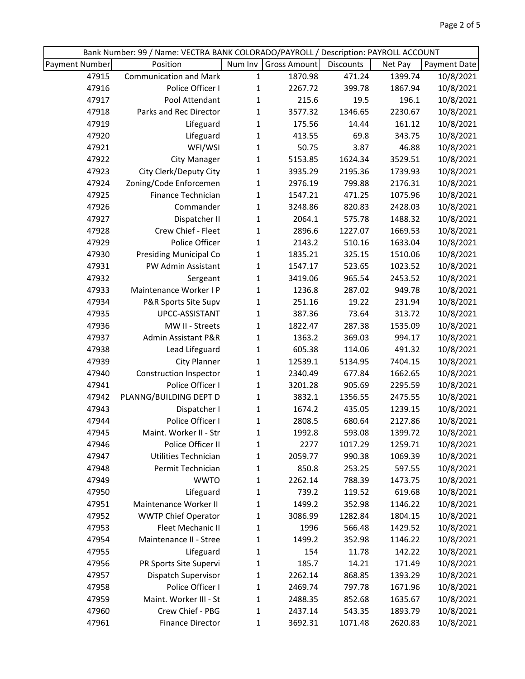|                       | Bank Number: 99 / Name: VECTRA BANK COLORADO/PAYROLL / Description: PAYROLL ACCOUNT |              |              |           |         |              |
|-----------------------|-------------------------------------------------------------------------------------|--------------|--------------|-----------|---------|--------------|
| <b>Payment Number</b> | Position                                                                            | Num Inv      | Gross Amount | Discounts | Net Pay | Payment Date |
| 47915                 | <b>Communication and Mark</b>                                                       | $\mathbf{1}$ | 1870.98      | 471.24    | 1399.74 | 10/8/2021    |
| 47916                 | Police Officer I                                                                    | $\mathbf{1}$ | 2267.72      | 399.78    | 1867.94 | 10/8/2021    |
| 47917                 | Pool Attendant                                                                      | 1            | 215.6        | 19.5      | 196.1   | 10/8/2021    |
| 47918                 | Parks and Rec Director                                                              | $\mathbf 1$  | 3577.32      | 1346.65   | 2230.67 | 10/8/2021    |
| 47919                 | Lifeguard                                                                           | $\mathbf{1}$ | 175.56       | 14.44     | 161.12  | 10/8/2021    |
| 47920                 | Lifeguard                                                                           | $\mathbf{1}$ | 413.55       | 69.8      | 343.75  | 10/8/2021    |
| 47921                 | WFI/WSI                                                                             | $\mathbf{1}$ | 50.75        | 3.87      | 46.88   | 10/8/2021    |
| 47922                 | <b>City Manager</b>                                                                 | $\mathbf 1$  | 5153.85      | 1624.34   | 3529.51 | 10/8/2021    |
| 47923                 | City Clerk/Deputy City                                                              | $\mathbf{1}$ | 3935.29      | 2195.36   | 1739.93 | 10/8/2021    |
| 47924                 | Zoning/Code Enforcemen                                                              | 1            | 2976.19      | 799.88    | 2176.31 | 10/8/2021    |
| 47925                 | Finance Technician                                                                  | $\mathbf 1$  | 1547.21      | 471.25    | 1075.96 | 10/8/2021    |
| 47926                 | Commander                                                                           | $\mathbf 1$  | 3248.86      | 820.83    | 2428.03 | 10/8/2021    |
| 47927                 | Dispatcher II                                                                       | 1            | 2064.1       | 575.78    | 1488.32 | 10/8/2021    |
| 47928                 | Crew Chief - Fleet                                                                  | 1            | 2896.6       | 1227.07   | 1669.53 | 10/8/2021    |
| 47929                 | Police Officer                                                                      | $\mathbf{1}$ | 2143.2       | 510.16    | 1633.04 | 10/8/2021    |
| 47930                 | <b>Presiding Municipal Co</b>                                                       | 1            | 1835.21      | 325.15    | 1510.06 | 10/8/2021    |
| 47931                 | PW Admin Assistant                                                                  | $\mathbf 1$  | 1547.17      | 523.65    | 1023.52 | 10/8/2021    |
| 47932                 | Sergeant                                                                            | 1            | 3419.06      | 965.54    | 2453.52 | 10/8/2021    |
| 47933                 | Maintenance Worker I P                                                              | $\mathbf{1}$ | 1236.8       | 287.02    | 949.78  | 10/8/2021    |
| 47934                 | P&R Sports Site Supv                                                                | 1            | 251.16       | 19.22     | 231.94  | 10/8/2021    |
| 47935                 | UPCC-ASSISTANT                                                                      | 1            | 387.36       | 73.64     | 313.72  | 10/8/2021    |
| 47936                 | MW II - Streets                                                                     | $\mathbf 1$  | 1822.47      | 287.38    | 1535.09 | 10/8/2021    |
| 47937                 | Admin Assistant P&R                                                                 | $\mathbf{1}$ | 1363.2       | 369.03    | 994.17  | 10/8/2021    |
| 47938                 | Lead Lifeguard                                                                      | $\mathbf{1}$ | 605.38       | 114.06    | 491.32  | 10/8/2021    |
| 47939                 | <b>City Planner</b>                                                                 | $\mathbf 1$  | 12539.1      | 5134.95   | 7404.15 | 10/8/2021    |
| 47940                 | <b>Construction Inspector</b>                                                       | 1            | 2340.49      | 677.84    | 1662.65 | 10/8/2021    |
| 47941                 | Police Officer I                                                                    | $\mathbf{1}$ | 3201.28      | 905.69    | 2295.59 | 10/8/2021    |
| 47942                 | PLANNG/BUILDING DEPT D                                                              | $\mathbf{1}$ | 3832.1       | 1356.55   | 2475.55 | 10/8/2021    |
| 47943                 | Dispatcher I                                                                        | $\mathbf 1$  | 1674.2       | 435.05    | 1239.15 | 10/8/2021    |
| 47944                 | Police Officer I                                                                    | $\mathbf{1}$ | 2808.5       | 680.64    | 2127.86 | 10/8/2021    |
| 47945                 | Maint. Worker II - Str                                                              | 1            | 1992.8       | 593.08    | 1399.72 | 10/8/2021    |
| 47946                 | Police Officer II                                                                   | 1            | 2277         | 1017.29   | 1259.71 | 10/8/2021    |
| 47947                 | Utilities Technician                                                                | 1            | 2059.77      | 990.38    | 1069.39 | 10/8/2021    |
| 47948                 | Permit Technician                                                                   | 1            | 850.8        | 253.25    | 597.55  | 10/8/2021    |
| 47949                 | <b>WWTO</b>                                                                         | 1            | 2262.14      | 788.39    | 1473.75 | 10/8/2021    |
| 47950                 | Lifeguard                                                                           | 1            | 739.2        | 119.52    | 619.68  | 10/8/2021    |
| 47951                 | Maintenance Worker II                                                               | 1            | 1499.2       | 352.98    | 1146.22 | 10/8/2021    |
| 47952                 | <b>WWTP Chief Operator</b>                                                          | 1            | 3086.99      | 1282.84   | 1804.15 | 10/8/2021    |
| 47953                 | Fleet Mechanic II                                                                   | 1            | 1996         | 566.48    | 1429.52 | 10/8/2021    |
| 47954                 | Maintenance II - Stree                                                              | 1            | 1499.2       | 352.98    | 1146.22 | 10/8/2021    |
| 47955                 | Lifeguard                                                                           | 1            | 154          | 11.78     | 142.22  | 10/8/2021    |
| 47956                 | PR Sports Site Supervi                                                              | 1            | 185.7        | 14.21     | 171.49  | 10/8/2021    |
| 47957                 | Dispatch Supervisor                                                                 | 1            | 2262.14      | 868.85    | 1393.29 | 10/8/2021    |
| 47958                 | Police Officer I                                                                    | 1            | 2469.74      | 797.78    | 1671.96 | 10/8/2021    |
| 47959                 | Maint. Worker III - St                                                              | 1            | 2488.35      | 852.68    | 1635.67 | 10/8/2021    |
| 47960                 | Crew Chief - PBG                                                                    | 1            | 2437.14      | 543.35    | 1893.79 | 10/8/2021    |
| 47961                 | <b>Finance Director</b>                                                             | 1            | 3692.31      | 1071.48   | 2620.83 | 10/8/2021    |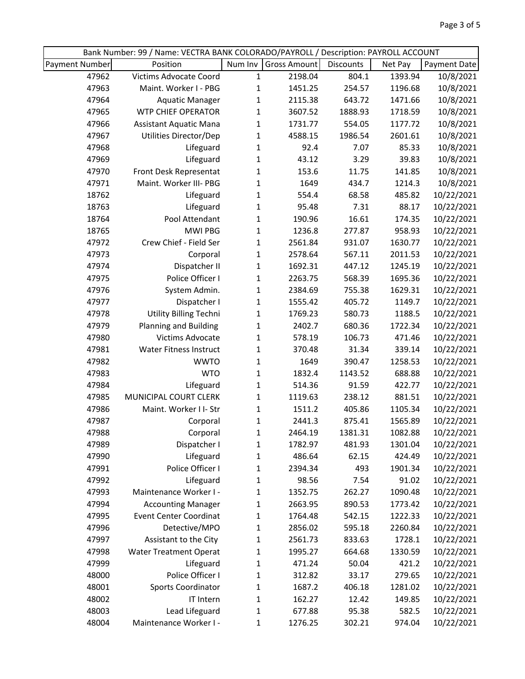|                       | Bank Number: 99 / Name: VECTRA BANK COLORADO/PAYROLL / Description: PAYROLL ACCOUNT |                              |                     |                  |                    |                          |
|-----------------------|-------------------------------------------------------------------------------------|------------------------------|---------------------|------------------|--------------------|--------------------------|
| <b>Payment Number</b> | Position                                                                            | Num Inv                      | <b>Gross Amount</b> | Discounts        | Net Pay            | Payment Date             |
| 47962                 | Victims Advocate Coord                                                              | $\mathbf 1$                  | 2198.04             | 804.1            | 1393.94            | 10/8/2021                |
| 47963                 | Maint. Worker I - PBG                                                               | $\mathbf{1}$                 | 1451.25             | 254.57           | 1196.68            | 10/8/2021                |
| 47964                 | <b>Aquatic Manager</b>                                                              | $\mathbf{1}$                 | 2115.38             | 643.72           | 1471.66            | 10/8/2021                |
| 47965                 | <b>WTP CHIEF OPERATOR</b>                                                           | $\mathbf{1}$                 | 3607.52             | 1888.93          | 1718.59            | 10/8/2021                |
| 47966                 | <b>Assistant Aquatic Mana</b>                                                       | $\mathbf 1$                  | 1731.77             | 554.05           | 1177.72            | 10/8/2021                |
| 47967                 | Utilities Director/Dep                                                              | $\mathbf{1}$                 | 4588.15             | 1986.54          | 2601.61            | 10/8/2021                |
| 47968                 | Lifeguard                                                                           | $\mathbf{1}$                 | 92.4                | 7.07             | 85.33              | 10/8/2021                |
| 47969                 | Lifeguard                                                                           | $\mathbf{1}$                 | 43.12               | 3.29             | 39.83              | 10/8/2021                |
| 47970                 | Front Desk Representat                                                              | $\mathbf{1}$                 | 153.6               | 11.75            | 141.85             | 10/8/2021                |
| 47971                 | Maint. Worker III- PBG                                                              | $\mathbf{1}$                 | 1649                | 434.7            | 1214.3             | 10/8/2021                |
| 18762                 | Lifeguard                                                                           | $\mathbf{1}$                 | 554.4               | 68.58            | 485.82             | 10/22/2021               |
| 18763                 | Lifeguard                                                                           | $\mathbf{1}$                 | 95.48               | 7.31             | 88.17              | 10/22/2021               |
| 18764                 | Pool Attendant                                                                      | $\mathbf{1}$                 | 190.96              | 16.61            | 174.35             | 10/22/2021               |
| 18765                 | <b>MWI PBG</b>                                                                      | $\mathbf{1}$                 | 1236.8              | 277.87           | 958.93             | 10/22/2021               |
| 47972                 | Crew Chief - Field Ser                                                              | $\mathbf{1}$                 | 2561.84             | 931.07           | 1630.77            | 10/22/2021               |
| 47973                 | Corporal                                                                            | $\mathbf{1}$                 | 2578.64             | 567.11           | 2011.53            | 10/22/2021               |
| 47974                 | Dispatcher II                                                                       | $\mathbf{1}$                 | 1692.31             | 447.12           | 1245.19            | 10/22/2021               |
| 47975                 | Police Officer I                                                                    | $\mathbf{1}$                 | 2263.75             | 568.39           | 1695.36            | 10/22/2021               |
| 47976                 | System Admin.                                                                       | $\mathbf{1}$                 | 2384.69             | 755.38           | 1629.31            | 10/22/2021               |
| 47977                 | Dispatcher I                                                                        | $\mathbf{1}$                 | 1555.42             | 405.72           | 1149.7             | 10/22/2021               |
| 47978                 | Utility Billing Techni                                                              | $\mathbf{1}$                 | 1769.23             | 580.73           | 1188.5             | 10/22/2021               |
| 47979                 | <b>Planning and Building</b>                                                        | $\mathbf{1}$                 | 2402.7              | 680.36           | 1722.34            | 10/22/2021               |
| 47980                 | Victims Advocate                                                                    | $\mathbf 1$                  | 578.19              | 106.73           | 471.46             | 10/22/2021               |
| 47981                 | <b>Water Fitness Instruct</b>                                                       | $\mathbf{1}$                 | 370.48              | 31.34            | 339.14             | 10/22/2021               |
| 47982                 | <b>WWTO</b>                                                                         | $\mathbf 1$                  | 1649                | 390.47           | 1258.53            | 10/22/2021               |
| 47983                 | <b>WTO</b>                                                                          | 1                            | 1832.4              | 1143.52          | 688.88             | 10/22/2021               |
| 47984                 | Lifeguard                                                                           | $\mathbf{1}$                 | 514.36              | 91.59            | 422.77             | 10/22/2021               |
| 47985                 | MUNICIPAL COURT CLERK                                                               | $\mathbf{1}$                 | 1119.63             | 238.12           | 881.51             | 10/22/2021               |
| 47986                 | Maint. Worker I I- Str                                                              | $\mathbf{1}$                 | 1511.2              | 405.86           | 1105.34            | 10/22/2021               |
| 47987                 | Corporal                                                                            | $\mathbf 1$                  | 2441.3              | 875.41           | 1565.89            | 10/22/2021               |
| 47988                 | Corporal                                                                            | $\mathbf{1}$                 | 2464.19             | 1381.31          | 1082.88            | 10/22/2021               |
| 47989                 | Dispatcher I                                                                        | $\mathbf{1}$                 | 1782.97             | 481.93           | 1301.04            | 10/22/2021               |
| 47990                 | Lifeguard<br>Police Officer I                                                       | $\mathbf{1}$                 | 486.64              | 62.15            | 424.49             | 10/22/2021               |
| 47991                 |                                                                                     | 1                            | 2394.34             | 493              | 1901.34            | 10/22/2021               |
| 47992                 | Lifeguard                                                                           | 1                            | 98.56               | 7.54             | 91.02              | 10/22/2021               |
| 47993                 | Maintenance Worker I -                                                              | 1                            | 1352.75<br>2663.95  | 262.27           | 1090.48            | 10/22/2021               |
| 47994<br>47995        | <b>Accounting Manager</b><br><b>Event Center Coordinat</b>                          | 1                            | 1764.48             | 890.53<br>542.15 | 1773.42<br>1222.33 | 10/22/2021<br>10/22/2021 |
| 47996                 | Detective/MPO                                                                       | 1                            | 2856.02             | 595.18           | 2260.84            | 10/22/2021               |
| 47997                 | Assistant to the City                                                               | 1<br>$\mathbf{1}$            | 2561.73             | 833.63           | 1728.1             | 10/22/2021               |
| 47998                 | <b>Water Treatment Operat</b>                                                       | 1                            | 1995.27             | 664.68           | 1330.59            | 10/22/2021               |
| 47999                 | Lifeguard                                                                           |                              | 471.24              | 50.04            | 421.2              | 10/22/2021               |
| 48000                 | Police Officer I                                                                    | 1                            | 312.82              | 33.17            | 279.65             | 10/22/2021               |
| 48001                 | <b>Sports Coordinator</b>                                                           | 1                            | 1687.2              | 406.18           | 1281.02            | 10/22/2021               |
| 48002                 | IT Intern                                                                           | 1<br>$\mathbf{1}$            | 162.27              | 12.42            | 149.85             | 10/22/2021               |
| 48003                 | Lead Lifeguard                                                                      |                              | 677.88              | 95.38            | 582.5              | 10/22/2021               |
| 48004                 | Maintenance Worker I -                                                              | $\mathbf{1}$<br>$\mathbf{1}$ | 1276.25             | 302.21           | 974.04             | 10/22/2021               |
|                       |                                                                                     |                              |                     |                  |                    |                          |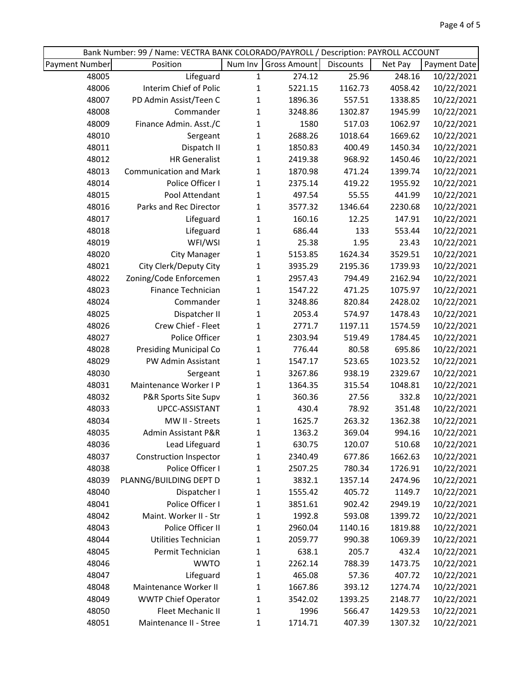| Bank Number: 99 / Name: VECTRA BANK COLORADO/PAYROLL / Description: PAYROLL ACCOUNT |                               |              |              |           |         |              |
|-------------------------------------------------------------------------------------|-------------------------------|--------------|--------------|-----------|---------|--------------|
| Payment Number                                                                      | Position                      | Num Inv      | Gross Amount | Discounts | Net Pay | Payment Date |
| 48005                                                                               | Lifeguard                     | $\mathbf{1}$ | 274.12       | 25.96     | 248.16  | 10/22/2021   |
| 48006                                                                               | Interim Chief of Polic        | $\mathbf{1}$ | 5221.15      | 1162.73   | 4058.42 | 10/22/2021   |
| 48007                                                                               | PD Admin Assist/Teen C        | $\mathbf 1$  | 1896.36      | 557.51    | 1338.85 | 10/22/2021   |
| 48008                                                                               | Commander                     | $\mathbf 1$  | 3248.86      | 1302.87   | 1945.99 | 10/22/2021   |
| 48009                                                                               | Finance Admin. Asst./C        | 1            | 1580         | 517.03    | 1062.97 | 10/22/2021   |
| 48010                                                                               | Sergeant                      | 1            | 2688.26      | 1018.64   | 1669.62 | 10/22/2021   |
| 48011                                                                               | Dispatch II                   | $\mathbf{1}$ | 1850.83      | 400.49    | 1450.34 | 10/22/2021   |
| 48012                                                                               | <b>HR Generalist</b>          | 1            | 2419.38      | 968.92    | 1450.46 | 10/22/2021   |
| 48013                                                                               | <b>Communication and Mark</b> | $\mathbf{1}$ | 1870.98      | 471.24    | 1399.74 | 10/22/2021   |
| 48014                                                                               | Police Officer I              | $\mathbf{1}$ | 2375.14      | 419.22    | 1955.92 | 10/22/2021   |
| 48015                                                                               | Pool Attendant                | 1            | 497.54       | 55.55     | 441.99  | 10/22/2021   |
| 48016                                                                               | Parks and Rec Director        | $\mathbf 1$  | 3577.32      | 1346.64   | 2230.68 | 10/22/2021   |
| 48017                                                                               | Lifeguard                     | $\mathbf{1}$ | 160.16       | 12.25     | 147.91  | 10/22/2021   |
| 48018                                                                               | Lifeguard                     | 1            | 686.44       | 133       | 553.44  | 10/22/2021   |
| 48019                                                                               | WFI/WSI                       | 1            | 25.38        | 1.95      | 23.43   | 10/22/2021   |
| 48020                                                                               | <b>City Manager</b>           | $\mathbf 1$  | 5153.85      | 1624.34   | 3529.51 | 10/22/2021   |
| 48021                                                                               | City Clerk/Deputy City        | $\mathbf 1$  | 3935.29      | 2195.36   | 1739.93 | 10/22/2021   |
| 48022                                                                               | Zoning/Code Enforcemen        | $\mathbf{1}$ | 2957.43      | 794.49    | 2162.94 | 10/22/2021   |
| 48023                                                                               | Finance Technician            | 1            | 1547.22      | 471.25    | 1075.97 | 10/22/2021   |
| 48024                                                                               | Commander                     | $\mathbf{1}$ | 3248.86      | 820.84    | 2428.02 | 10/22/2021   |
| 48025                                                                               | Dispatcher II                 | 1            | 2053.4       | 574.97    | 1478.43 | 10/22/2021   |
| 48026                                                                               | Crew Chief - Fleet            | $\mathbf{1}$ | 2771.7       | 1197.11   | 1574.59 | 10/22/2021   |
| 48027                                                                               | Police Officer                | $\mathbf 1$  | 2303.94      | 519.49    | 1784.45 | 10/22/2021   |
| 48028                                                                               | Presiding Municipal Co        | 1            | 776.44       | 80.58     | 695.86  | 10/22/2021   |
| 48029                                                                               | PW Admin Assistant            | $\mathbf 1$  | 1547.17      | 523.65    | 1023.52 | 10/22/2021   |
| 48030                                                                               | Sergeant                      | 1            | 3267.86      | 938.19    | 2329.67 | 10/22/2021   |
| 48031                                                                               | Maintenance Worker I P        | 1            | 1364.35      | 315.54    | 1048.81 | 10/22/2021   |
| 48032                                                                               | P&R Sports Site Supv          | $\mathbf{1}$ | 360.36       | 27.56     | 332.8   | 10/22/2021   |
| 48033                                                                               | UPCC-ASSISTANT                | $\mathbf{1}$ | 430.4        | 78.92     | 351.48  | 10/22/2021   |
| 48034                                                                               | MW II - Streets               | $\mathbf{1}$ | 1625.7       | 263.32    | 1362.38 | 10/22/2021   |
| 48035                                                                               | Admin Assistant P&R           | 1            | 1363.2       | 369.04    | 994.16  | 10/22/2021   |
| 48036                                                                               | Lead Lifeguard                | 1            | 630.75       | 120.07    | 510.68  | 10/22/2021   |
| 48037                                                                               | <b>Construction Inspector</b> | 1            | 2340.49      | 677.86    | 1662.63 | 10/22/2021   |
| 48038                                                                               | Police Officer I              | 1            | 2507.25      | 780.34    | 1726.91 | 10/22/2021   |
| 48039                                                                               | PLANNG/BUILDING DEPT D        | 1            | 3832.1       | 1357.14   | 2474.96 | 10/22/2021   |
| 48040                                                                               | Dispatcher I                  | 1            | 1555.42      | 405.72    | 1149.7  | 10/22/2021   |
| 48041                                                                               | Police Officer I              | 1            | 3851.61      | 902.42    | 2949.19 | 10/22/2021   |
| 48042                                                                               | Maint. Worker II - Str        | 1            | 1992.8       | 593.08    | 1399.72 | 10/22/2021   |
| 48043                                                                               | Police Officer II             | 1            | 2960.04      | 1140.16   | 1819.88 | 10/22/2021   |
| 48044                                                                               | Utilities Technician          | 1            | 2059.77      | 990.38    | 1069.39 | 10/22/2021   |
| 48045                                                                               | Permit Technician             | 1            | 638.1        | 205.7     | 432.4   | 10/22/2021   |
| 48046                                                                               | <b>WWTO</b>                   | 1            | 2262.14      | 788.39    | 1473.75 | 10/22/2021   |
| 48047                                                                               | Lifeguard                     | 1            | 465.08       | 57.36     | 407.72  | 10/22/2021   |
| 48048                                                                               | Maintenance Worker II         | 1            | 1667.86      | 393.12    | 1274.74 | 10/22/2021   |
| 48049                                                                               | <b>WWTP Chief Operator</b>    | 1            | 3542.02      | 1393.25   | 2148.77 | 10/22/2021   |
| 48050                                                                               | Fleet Mechanic II             | 1            | 1996         | 566.47    | 1429.53 | 10/22/2021   |
| 48051                                                                               | Maintenance II - Stree        | $\mathbf{1}$ | 1714.71      | 407.39    | 1307.32 | 10/22/2021   |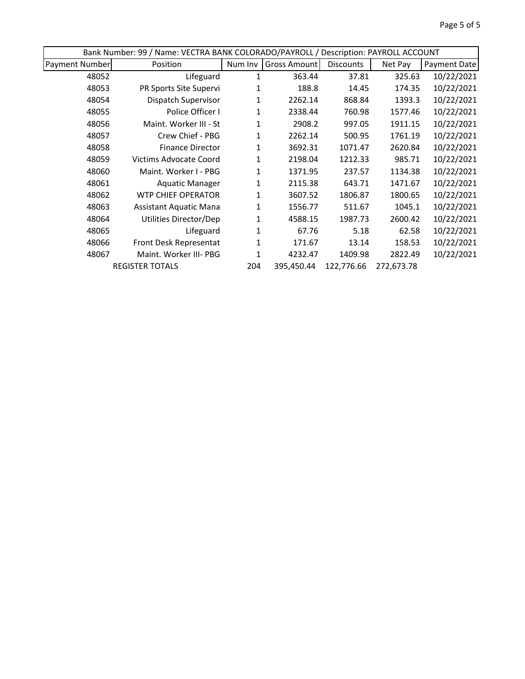| Bank Number: 99 / Name: VECTRA BANK COLORADO/PAYROLL / Description: PAYROLL ACCOUNT |                               |         |              |                  |            |              |
|-------------------------------------------------------------------------------------|-------------------------------|---------|--------------|------------------|------------|--------------|
| <b>Payment Number</b>                                                               | Position                      | Num Inv | Gross Amount | <b>Discounts</b> | Net Pay    | Payment Date |
| 48052                                                                               | Lifeguard                     |         | 363.44       | 37.81            | 325.63     | 10/22/2021   |
| 48053                                                                               | PR Sports Site Supervi        | 1       | 188.8        | 14.45            | 174.35     | 10/22/2021   |
| 48054                                                                               | Dispatch Supervisor           | 1       | 2262.14      | 868.84           | 1393.3     | 10/22/2021   |
| 48055                                                                               | Police Officer I              | 1       | 2338.44      | 760.98           | 1577.46    | 10/22/2021   |
| 48056                                                                               | Maint. Worker III - St        | 1       | 2908.2       | 997.05           | 1911.15    | 10/22/2021   |
| 48057                                                                               | Crew Chief - PBG              | 1       | 2262.14      | 500.95           | 1761.19    | 10/22/2021   |
| 48058                                                                               | <b>Finance Director</b>       | 1       | 3692.31      | 1071.47          | 2620.84    | 10/22/2021   |
| 48059                                                                               | <b>Victims Advocate Coord</b> | 1       | 2198.04      | 1212.33          | 985.71     | 10/22/2021   |
| 48060                                                                               | Maint. Worker I - PBG         | 1       | 1371.95      | 237.57           | 1134.38    | 10/22/2021   |
| 48061                                                                               | <b>Aquatic Manager</b>        | 1       | 2115.38      | 643.71           | 1471.67    | 10/22/2021   |
| 48062                                                                               | <b>WTP CHIEF OPERATOR</b>     | 1       | 3607.52      | 1806.87          | 1800.65    | 10/22/2021   |
| 48063                                                                               | <b>Assistant Aquatic Mana</b> | 1       | 1556.77      | 511.67           | 1045.1     | 10/22/2021   |
| 48064                                                                               | Utilities Director/Dep        | 1       | 4588.15      | 1987.73          | 2600.42    | 10/22/2021   |
| 48065                                                                               | Lifeguard                     | 1       | 67.76        | 5.18             | 62.58      | 10/22/2021   |
| 48066                                                                               | Front Desk Representat        | 1       | 171.67       | 13.14            | 158.53     | 10/22/2021   |
| 48067                                                                               | Maint. Worker III- PBG        | 1       | 4232.47      | 1409.98          | 2822.49    | 10/22/2021   |
|                                                                                     | <b>REGISTER TOTALS</b>        | 204     | 395,450.44   | 122,776.66       | 272,673.78 |              |